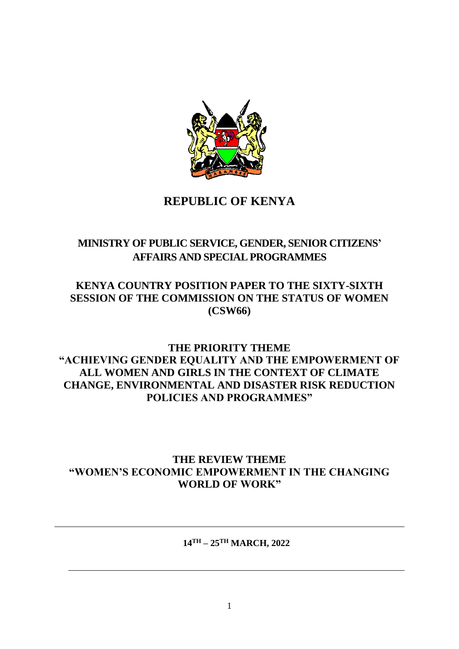

# **REPUBLIC OF KENYA**

# **MINISTRY OF PUBLIC SERVICE, GENDER, SENIOR CITIZENS' AFFAIRS AND SPECIAL PROGRAMMES**

## **KENYA COUNTRY POSITION PAPER TO THE SIXTY-SIXTH SESSION OF THE COMMISSION ON THE STATUS OF WOMEN (CSW66)**

## **THE PRIORITY THEME "ACHIEVING GENDER EQUALITY AND THE EMPOWERMENT OF ALL WOMEN AND GIRLS IN THE CONTEXT OF CLIMATE CHANGE, ENVIRONMENTAL AND DISASTER RISK REDUCTION POLICIES AND PROGRAMMES"**

## **THE REVIEW THEME "WOMEN'S ECONOMIC EMPOWERMENT IN THE CHANGING WORLD OF WORK"**

**14TH – 25TH MARCH, 2022**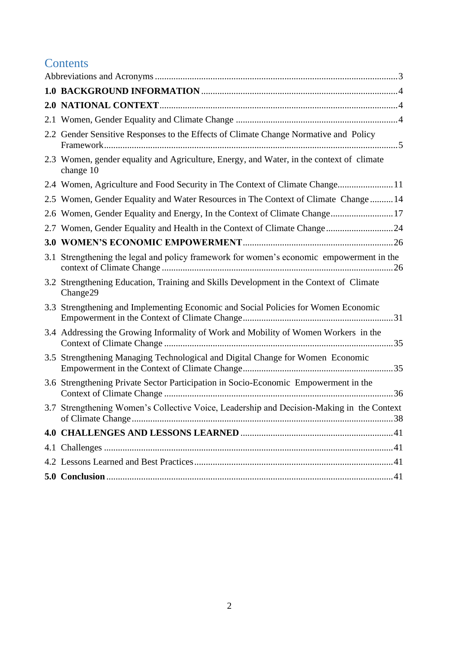# **Contents**

| 2.2 Gender Sensitive Responses to the Effects of Climate Change Normative and Policy                  |  |
|-------------------------------------------------------------------------------------------------------|--|
| 2.3 Women, gender equality and Agriculture, Energy, and Water, in the context of climate<br>change 10 |  |
| 2.4 Women, Agriculture and Food Security in The Context of Climate Change11                           |  |
| 2.5 Women, Gender Equality and Water Resources in The Context of Climate Change 14                    |  |
| 2.6 Women, Gender Equality and Energy, In the Context of Climate Change 17                            |  |
| 2.7 Women, Gender Equality and Health in the Context of Climate Change24                              |  |
|                                                                                                       |  |
| 3.1 Strengthening the legal and policy framework for women's economic empowerment in the              |  |
| 3.2 Strengthening Education, Training and Skills Development in the Context of Climate<br>Change29    |  |
| 3.3 Strengthening and Implementing Economic and Social Policies for Women Economic                    |  |
| 3.4 Addressing the Growing Informality of Work and Mobility of Women Workers in the                   |  |
| 3.5 Strengthening Managing Technological and Digital Change for Women Economic                        |  |
| 3.6 Strengthening Private Sector Participation in Socio-Economic Empowerment in the                   |  |
| 3.7 Strengthening Women's Collective Voice, Leadership and Decision-Making in the Context             |  |
|                                                                                                       |  |
|                                                                                                       |  |
|                                                                                                       |  |
|                                                                                                       |  |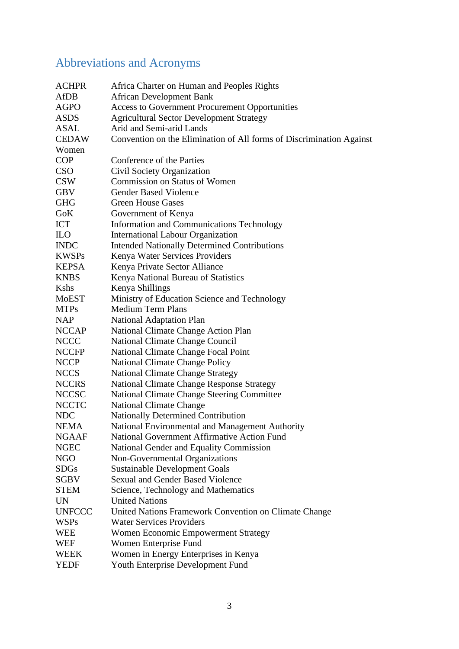# <span id="page-2-0"></span>Abbreviations and Acronyms

| <b>ACHPR</b>  | Africa Charter on Human and Peoples Rights                           |
|---------------|----------------------------------------------------------------------|
| <b>AfDB</b>   | <b>African Development Bank</b>                                      |
| <b>AGPO</b>   | Access to Government Procurement Opportunities                       |
| <b>ASDS</b>   | <b>Agricultural Sector Development Strategy</b>                      |
| <b>ASAL</b>   | Arid and Semi-arid Lands                                             |
| <b>CEDAW</b>  | Convention on the Elimination of All forms of Discrimination Against |
| Women         |                                                                      |
| <b>COP</b>    | Conference of the Parties                                            |
| <b>CSO</b>    | Civil Society Organization                                           |
| <b>CSW</b>    | <b>Commission on Status of Women</b>                                 |
| <b>GBV</b>    | <b>Gender Based Violence</b>                                         |
| <b>GHG</b>    | <b>Green House Gases</b>                                             |
| <b>GoK</b>    | Government of Kenya                                                  |
| ICT           | Information and Communications Technology                            |
| <b>ILO</b>    | <b>International Labour Organization</b>                             |
| <b>INDC</b>   | <b>Intended Nationally Determined Contributions</b>                  |
| <b>KWSPs</b>  | Kenya Water Services Providers                                       |
| <b>KEPSA</b>  | Kenya Private Sector Alliance                                        |
| <b>KNBS</b>   | Kenya National Bureau of Statistics                                  |
| <b>K</b> shs  | Kenya Shillings                                                      |
| <b>MoEST</b>  | Ministry of Education Science and Technology                         |
| <b>MTPs</b>   | <b>Medium Term Plans</b>                                             |
| <b>NAP</b>    | National Adaptation Plan                                             |
| <b>NCCAP</b>  | National Climate Change Action Plan                                  |
| <b>NCCC</b>   |                                                                      |
|               | National Climate Change Council                                      |
| <b>NCCFP</b>  | National Climate Change Focal Point                                  |
| <b>NCCP</b>   | <b>National Climate Change Policy</b>                                |
| <b>NCCS</b>   | <b>National Climate Change Strategy</b>                              |
| <b>NCCRS</b>  | <b>National Climate Change Response Strategy</b>                     |
| <b>NCCSC</b>  | <b>National Climate Change Steering Committee</b>                    |
| <b>NCCTC</b>  | <b>National Climate Change</b>                                       |
| <b>NDC</b>    | Nationally Determined Contribution                                   |
| <b>NEMA</b>   | National Environmental and Management Authority                      |
| <b>NGAAF</b>  | National Government Affirmative Action Fund                          |
| <b>NGEC</b>   | National Gender and Equality Commission                              |
| NGO           | Non-Governmental Organizations                                       |
| <b>SDGs</b>   | <b>Sustainable Development Goals</b>                                 |
| SGBV          | <b>Sexual and Gender Based Violence</b>                              |
| <b>STEM</b>   | Science, Technology and Mathematics                                  |
| <b>UN</b>     | <b>United Nations</b>                                                |
| <b>UNFCCC</b> | United Nations Framework Convention on Climate Change                |
| <b>WSPs</b>   | <b>Water Services Providers</b>                                      |
| WEE           | Women Economic Empowerment Strategy                                  |
| <b>WEF</b>    | Women Enterprise Fund                                                |
| WEEK          | Women in Energy Enterprises in Kenya                                 |
| <b>YEDF</b>   | Youth Enterprise Development Fund                                    |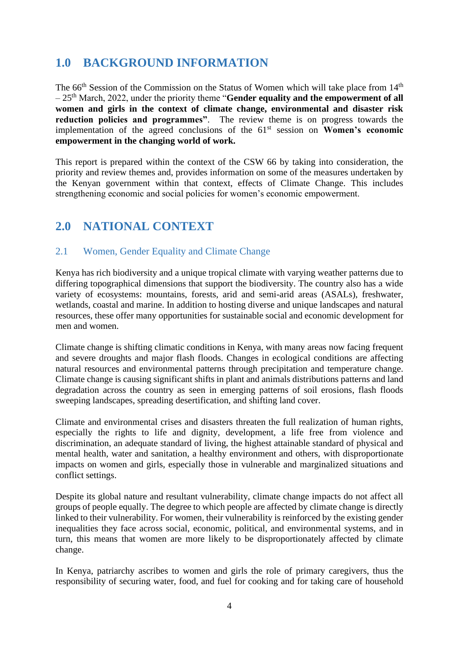# <span id="page-3-0"></span>**1.0 BACKGROUND INFORMATION**

The  $66<sup>th</sup>$  Session of the Commission on the Status of Women which will take place from  $14<sup>th</sup>$ – 25th March, 2022, under the priority theme "**Gender equality and the empowerment of all women and girls in the context of climate change, environmental and disaster risk reduction policies and programmes"**. The review theme is on progress towards the implementation of the agreed conclusions of the 61<sup>st</sup> session on **Women's economic empowerment in the changing world of work.**

This report is prepared within the context of the CSW 66 by taking into consideration, the priority and review themes and, provides information on some of the measures undertaken by the Kenyan government within that context, effects of Climate Change. This includes strengthening economic and social policies for women's economic empowerment.

# <span id="page-3-1"></span>**2.0 NATIONAL CONTEXT**

## <span id="page-3-2"></span>2.1 Women, Gender Equality and Climate Change

Kenya has rich biodiversity and a unique tropical climate with varying weather patterns due to differing topographical dimensions that support the biodiversity. The country also has a wide variety of ecosystems: mountains, forests, arid and semi-arid areas (ASALs), freshwater, wetlands, coastal and marine. In addition to hosting diverse and unique landscapes and natural resources, these offer many opportunities for sustainable social and economic development for men and women.

Climate change is shifting climatic conditions in Kenya, with many areas now facing frequent and severe droughts and major flash floods. Changes in ecological conditions are affecting natural resources and environmental patterns through precipitation and temperature change. Climate change is causing significant shifts in plant and animals distributions patterns and land degradation across the country as seen in emerging patterns of soil erosions, flash floods sweeping landscapes, spreading desertification, and shifting land cover.

Climate and environmental crises and disasters threaten the full realization of human rights, especially the rights to life and dignity, development, a life free from violence and discrimination, an adequate standard of living, the highest attainable standard of physical and mental health, water and sanitation, a healthy environment and others, with disproportionate impacts on women and girls, especially those in vulnerable and marginalized situations and conflict settings.

Despite its global nature and resultant vulnerability, climate change impacts do not affect all groups of people equally. The degree to which people are affected by climate change is directly linked to their vulnerability. For women, their vulnerability is reinforced by the existing gender inequalities they face across social, economic, political, and environmental systems, and in turn, this means that women are more likely to be disproportionately affected by climate change.

In Kenya, patriarchy ascribes to women and girls the role of primary caregivers, thus the responsibility of securing water, food, and fuel for cooking and for taking care of household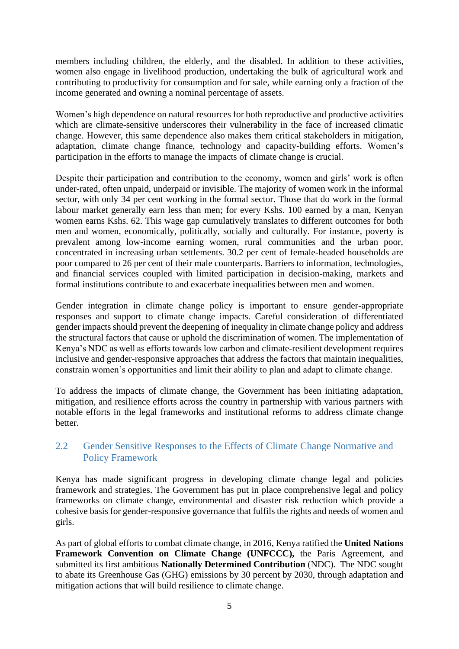members including children, the elderly, and the disabled. In addition to these activities, women also engage in livelihood production, undertaking the bulk of agricultural work and contributing to productivity for consumption and for sale, while earning only a fraction of the income generated and owning a nominal percentage of assets.

Women's high dependence on natural resources for both reproductive and productive activities which are climate-sensitive underscores their vulnerability in the face of increased climatic change. However, this same dependence also makes them critical stakeholders in mitigation, adaptation, climate change finance, technology and capacity-building efforts. Women's participation in the efforts to manage the impacts of climate change is crucial.

Despite their participation and contribution to the economy, women and girls' work is often under-rated, often unpaid, underpaid or invisible. The majority of women work in the informal sector, with only 34 per cent working in the formal sector. Those that do work in the formal labour market generally earn less than men; for every Kshs. 100 earned by a man, Kenyan women earns Kshs. 62. This wage gap cumulatively translates to different outcomes for both men and women, economically, politically, socially and culturally. For instance, poverty is prevalent among low-income earning women, rural communities and the urban poor, concentrated in increasing urban settlements. 30.2 per cent of female-headed households are poor compared to 26 per cent of their male counterparts. Barriers to information, technologies, and financial services coupled with limited participation in decision-making, markets and formal institutions contribute to and exacerbate inequalities between men and women.

Gender integration in climate change policy is important to ensure gender-appropriate responses and support to climate change impacts. Careful consideration of differentiated gender impacts should prevent the deepening of inequality in climate change policy and address the structural factors that cause or uphold the discrimination of women. The implementation of Kenya's NDC as well as efforts towards low carbon and climate-resilient development requires inclusive and gender-responsive approaches that address the factors that maintain inequalities, constrain women's opportunities and limit their ability to plan and adapt to climate change.

To address the impacts of climate change, the Government has been initiating adaptation, mitigation, and resilience efforts across the country in partnership with various partners with notable efforts in the legal frameworks and institutional reforms to address climate change better.

#### <span id="page-4-0"></span>2.2 Gender Sensitive Responses to the Effects of Climate Change Normative and Policy Framework

Kenya has made significant progress in developing climate change legal and policies framework and strategies. The Government has put in place comprehensive legal and policy frameworks on climate change, environmental and disaster risk reduction which provide a cohesive basis for gender-responsive governance that fulfils the rights and needs of women and girls.

As part of global efforts to combat climate change, in 2016, Kenya ratified the **United Nations Framework Convention on Climate Change (UNFCCC), the Paris Agreement, and** submitted its first ambitious **Nationally Determined Contribution** (NDC). The NDC sought to abate its Greenhouse Gas (GHG) emissions by 30 percent by 2030, through adaptation and mitigation actions that will build resilience to climate change.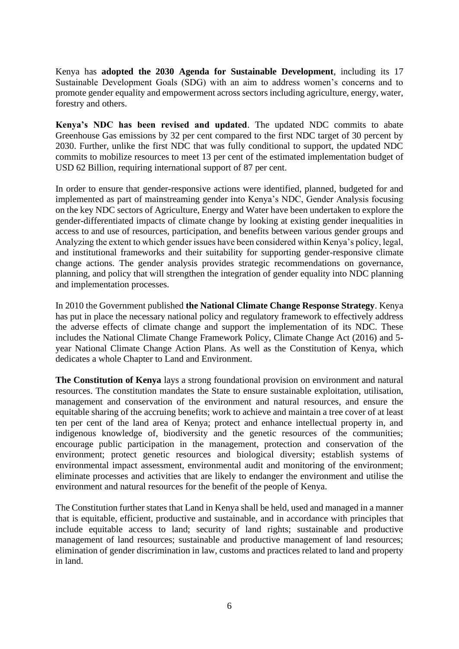Kenya has **adopted the 2030 Agenda for Sustainable Development**, including its 17 Sustainable Development Goals (SDG) with an aim to address women's concerns and to promote gender equality and empowerment across sectors including agriculture, energy, water, forestry and others.

**Kenya's NDC has been revised and updated**. The updated NDC commits to abate Greenhouse Gas emissions by 32 per cent compared to the first NDC target of 30 percent by 2030. Further, unlike the first NDC that was fully conditional to support, the updated NDC commits to mobilize resources to meet 13 per cent of the estimated implementation budget of USD 62 Billion, requiring international support of 87 per cent.

In order to ensure that gender-responsive actions were identified, planned, budgeted for and implemented as part of mainstreaming gender into Kenya's NDC, Gender Analysis focusing on the key NDC sectors of Agriculture, Energy and Water have been undertaken to explore the gender-differentiated impacts of climate change by looking at existing gender inequalities in access to and use of resources, participation, and benefits between various gender groups and Analyzing the extent to which gender issues have been considered within Kenya's policy, legal, and institutional frameworks and their suitability for supporting gender-responsive climate change actions. The gender analysis provides strategic recommendations on governance, planning, and policy that will strengthen the integration of gender equality into NDC planning and implementation processes.

In 2010 the Government published **the National Climate Change Response Strategy**. Kenya has put in place the necessary national policy and regulatory framework to effectively address the adverse effects of climate change and support the implementation of its NDC. These includes the National Climate Change Framework Policy, Climate Change Act (2016) and 5 year National Climate Change Action Plans. As well as the Constitution of Kenya, which dedicates a whole Chapter to Land and Environment.

**The Constitution of Kenya** lays a strong foundational provision on environment and natural resources. The constitution mandates the State to ensure sustainable exploitation, utilisation, management and conservation of the environment and natural resources, and ensure the equitable sharing of the accruing benefits; work to achieve and maintain a tree cover of at least ten per cent of the land area of Kenya; protect and enhance intellectual property in, and indigenous knowledge of, biodiversity and the genetic resources of the communities; encourage public participation in the management, protection and conservation of the environment; protect genetic resources and biological diversity; establish systems of environmental impact assessment, environmental audit and monitoring of the environment; eliminate processes and activities that are likely to endanger the environment and utilise the environment and natural resources for the benefit of the people of Kenya.

The Constitution further states that Land in Kenya shall be held, used and managed in a manner that is equitable, efficient, productive and sustainable, and in accordance with principles that include equitable access to land; security of land rights; sustainable and productive management of land resources; sustainable and productive management of land resources; elimination of gender discrimination in law, customs and practices related to land and property in land.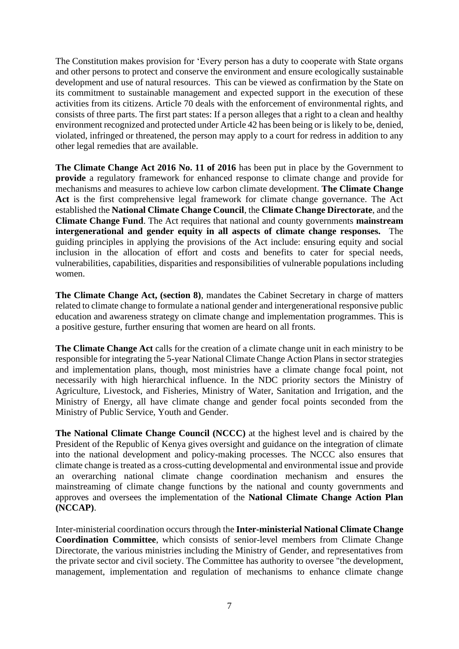The Constitution makes provision for 'Every person has a duty to cooperate with State organs and other persons to protect and conserve the environment and ensure ecologically sustainable development and use of natural resources. This can be viewed as confirmation by the State on its commitment to sustainable management and expected support in the execution of these activities from its citizens. Article 70 deals with the enforcement of environmental rights, and consists of three parts. The first part states: If a person alleges that a right to a clean and healthy environment recognized and protected under Article 42 has been being or is likely to be, denied, violated, infringed or threatened, the person may apply to a court for redress in addition to any other legal remedies that are available.

**The Climate Change Act 2016 No. 11 of 2016** has been put in place by the Government to **provide** a regulatory framework for enhanced response to climate change and provide for mechanisms and measures to achieve low carbon climate development. **The Climate Change Act** is the first comprehensive legal framework for climate change governance. The Act established the **National Climate Change Council**, the **Climate Change Directorate**, and the **Climate Change Fund**. The Act requires that national and county governments **mainstream intergenerational and gender equity in all aspects of climate change responses.** The guiding principles in applying the provisions of the Act include: ensuring equity and social inclusion in the allocation of effort and costs and benefits to cater for special needs, vulnerabilities, capabilities, disparities and responsibilities of vulnerable populations including women.

**The Climate Change Act, (section 8)**, mandates the Cabinet Secretary in charge of matters related to climate change to formulate a national gender and intergenerational responsive public education and awareness strategy on climate change and implementation programmes. This is a positive gesture, further ensuring that women are heard on all fronts.

**The Climate Change Act** calls for the creation of a climate change unit in each ministry to be responsible for integrating the 5-year National Climate Change Action Plans in sector strategies and implementation plans, though, most ministries have a climate change focal point, not necessarily with high hierarchical influence. In the NDC priority sectors the Ministry of Agriculture, Livestock, and Fisheries, Ministry of Water, Sanitation and Irrigation, and the Ministry of Energy, all have climate change and gender focal points seconded from the Ministry of Public Service, Youth and Gender.

**The National Climate Change Council (NCCC)** at the highest level and is chaired by the President of the Republic of Kenya gives oversight and guidance on the integration of climate into the national development and policy-making processes. The NCCC also ensures that climate change is treated as a cross-cutting developmental and environmental issue and provide an overarching national climate change coordination mechanism and ensures the mainstreaming of climate change functions by the national and county governments and approves and oversees the implementation of the **National Climate Change Action Plan (NCCAP)**.

Inter-ministerial coordination occurs through the **Inter-ministerial National Climate Change Coordination Committee**, which consists of senior-level members from Climate Change Directorate, the various ministries including the Ministry of Gender, and representatives from the private sector and civil society. The Committee has authority to oversee "the development, management, implementation and regulation of mechanisms to enhance climate change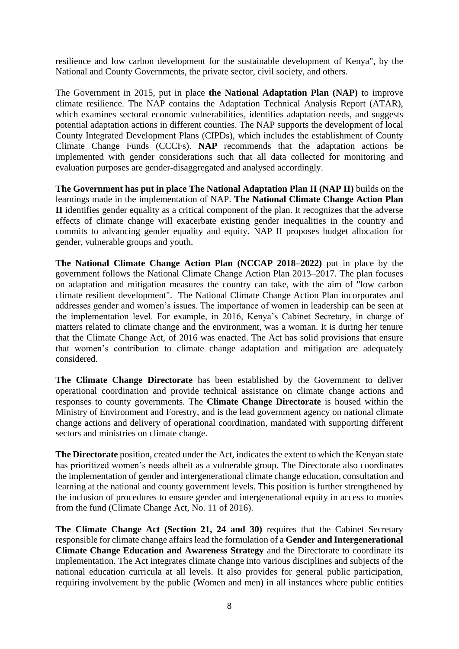resilience and low carbon development for the sustainable development of Kenya", by the National and County Governments, the private sector, civil society, and others.

The Government in 2015, put in place **the National Adaptation Plan (NAP)** to improve climate resilience. The NAP contains the Adaptation Technical Analysis Report (ATAR), which examines sectoral economic vulnerabilities, identifies adaptation needs, and suggests potential adaptation actions in different counties. The NAP supports the development of local County Integrated Development Plans (CIPDs), which includes the establishment of County Climate Change Funds (CCCFs). **NAP** recommends that the adaptation actions be implemented with gender considerations such that all data collected for monitoring and evaluation purposes are gender-disaggregated and analysed accordingly.

**The Government has put in place The National Adaptation Plan II (NAP II)** builds on the learnings made in the implementation of NAP. **The National Climate Change Action Plan II** identifies gender equality as a critical component of the plan. It recognizes that the adverse effects of climate change will exacerbate existing gender inequalities in the country and commits to advancing gender equality and equity. NAP II proposes budget allocation for gender, vulnerable groups and youth.

**The National Climate Change Action Plan (NCCAP 2018–2022)** put in place by the government follows the National Climate Change Action Plan 2013–2017. The plan focuses on adaptation and mitigation measures the country can take, with the aim of "low carbon climate resilient development". The National Climate Change Action Plan incorporates and addresses gender and women's issues. The importance of women in leadership can be seen at the implementation level. For example, in 2016, Kenya's Cabinet Secretary, in charge of matters related to climate change and the environment, was a woman. It is during her tenure that the Climate Change Act, of 2016 was enacted. The Act has solid provisions that ensure that women's contribution to climate change adaptation and mitigation are adequately considered.

**The Climate Change Directorate** has been established by the Government to deliver operational coordination and provide technical assistance on climate change actions and responses to county governments. The **Climate Change Directorate** is housed within the Ministry of Environment and Forestry, and is the lead government agency on national climate change actions and delivery of operational coordination, mandated with supporting different sectors and ministries on climate change.

**The Directorate** position, created under the Act, indicates the extent to which the Kenyan state has prioritized women's needs albeit as a vulnerable group. The Directorate also coordinates the implementation of gender and intergenerational climate change education, consultation and learning at the national and county government levels. This position is further strengthened by the inclusion of procedures to ensure gender and intergenerational equity in access to monies from the fund (Climate Change Act, No. 11 of 2016).

**The Climate Change Act (Section 21, 24 and 30)** requires that the Cabinet Secretary responsible for climate change affairs lead the formulation of a **Gender and Intergenerational Climate Change Education and Awareness Strategy** and the Directorate to coordinate its implementation. The Act integrates climate change into various disciplines and subjects of the national education curricula at all levels. It also provides for general public participation, requiring involvement by the public (Women and men) in all instances where public entities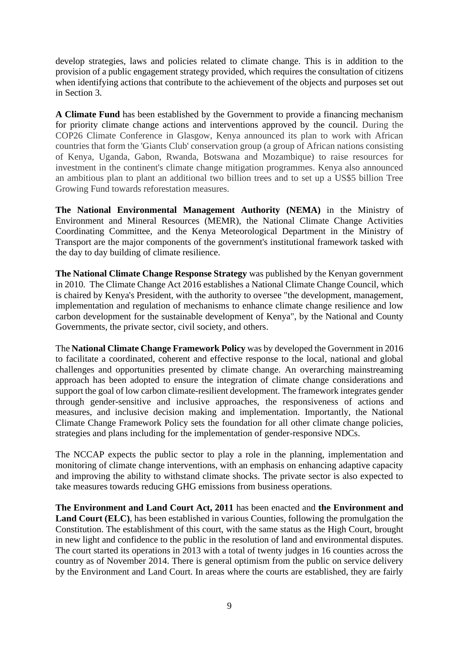develop strategies, laws and policies related to climate change. This is in addition to the provision of a public engagement strategy provided, which requires the consultation of citizens when identifying actions that contribute to the achievement of the objects and purposes set out in Section 3.

**A Climate Fund** has been established by the Government to provide a financing mechanism for priority climate change actions and interventions approved by the council. During the COP26 Climate Conference in Glasgow, Kenya announced its plan to work with African countries that form the 'Giants Club' conservation group (a group of African nations consisting of Kenya, Uganda, Gabon, Rwanda, Botswana and Mozambique) to raise resources for investment in the continent's climate change mitigation programmes. Kenya also announced an ambitious plan to plant an additional two billion trees and to set up a US\$5 billion Tree Growing Fund towards reforestation measures.

**The National Environmental Management Authority (NEMA)** in the Ministry of Environment and Mineral Resources (MEMR), the National Climate Change Activities Coordinating Committee, and the Kenya Meteorological Department in the Ministry of Transport are the major components of the government's institutional framework tasked with the day to day building of climate resilience.

**The National Climate Change Response Strategy** was published by the Kenyan government in 2010. The Climate Change Act 2016 establishes a National Climate Change Council, which is chaired by Kenya's President, with the authority to oversee "the development, management, implementation and regulation of mechanisms to enhance climate change resilience and low carbon development for the sustainable development of Kenya", by the National and County Governments, the private sector, civil society, and others.

The **National Climate Change Framework Policy** was by developed the Government in 2016 to facilitate a coordinated, coherent and effective response to the local, national and global challenges and opportunities presented by climate change. An overarching mainstreaming approach has been adopted to ensure the integration of climate change considerations and support the goal of low carbon climate-resilient development. The framework integrates gender through gender-sensitive and inclusive approaches, the responsiveness of actions and measures, and inclusive decision making and implementation. Importantly, the National Climate Change Framework Policy sets the foundation for all other climate change policies, strategies and plans including for the implementation of gender-responsive NDCs.

The NCCAP expects the public sector to play a role in the planning, implementation and monitoring of climate change interventions, with an emphasis on enhancing adaptive capacity and improving the ability to withstand climate shocks. The private sector is also expected to take measures towards reducing GHG emissions from business operations.

**The Environment and Land Court Act, 2011** has been enacted and **the Environment and Land Court (ELC)**, has been established in various Counties, following the promulgation the Constitution. The establishment of this court, with the same status as the High Court, brought in new light and confidence to the public in the resolution of land and environmental disputes. The court started its operations in 2013 with a total of twenty judges in 16 counties across the country as of November 2014. There is general optimism from the public on service delivery by the Environment and Land Court. In areas where the courts are established, they are fairly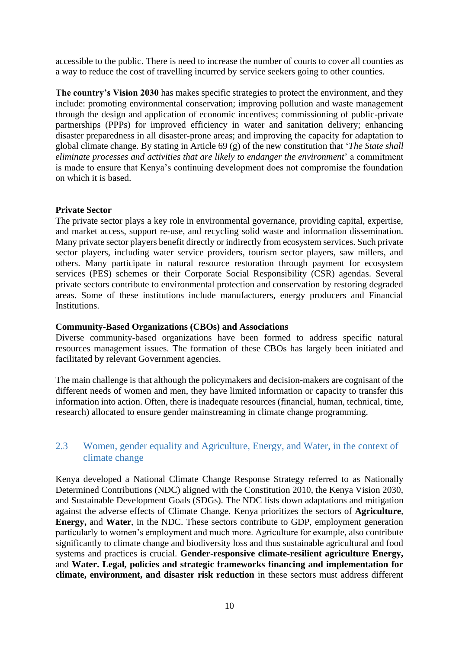accessible to the public. There is need to increase the number of courts to cover all counties as a way to reduce the cost of travelling incurred by service seekers going to other counties.

**The country's Vision 2030** has makes specific strategies to protect the environment, and they include: promoting environmental conservation; improving pollution and waste management through the design and application of economic incentives; commissioning of public-private partnerships (PPPs) for improved efficiency in water and sanitation delivery; enhancing disaster preparedness in all disaster-prone areas; and improving the capacity for adaptation to global climate change. By stating in Article 69 (g) of the new constitution that '*The State shall eliminate processes and activities that are likely to endanger the environment*' a commitment is made to ensure that Kenya's continuing development does not compromise the foundation on which it is based.

#### **Private Sector**

The private sector plays a key role in environmental governance, providing capital, expertise, and market access, support re-use, and recycling solid waste and information dissemination. Many private sector players benefit directly or indirectly from ecosystem services. Such private sector players, including water service providers, tourism sector players, saw millers, and others. Many participate in natural resource restoration through payment for ecosystem services (PES) schemes or their Corporate Social Responsibility (CSR) agendas. Several private sectors contribute to environmental protection and conservation by restoring degraded areas. Some of these institutions include manufacturers, energy producers and Financial **Institutions** 

#### **Community-Based Organizations (CBOs) and Associations**

Diverse community-based organizations have been formed to address specific natural resources management issues. The formation of these CBOs has largely been initiated and facilitated by relevant Government agencies.

The main challenge is that although the policymakers and decision-makers are cognisant of the different needs of women and men, they have limited information or capacity to transfer this information into action. Often, there is inadequate resources (financial, human, technical, time, research) allocated to ensure gender mainstreaming in climate change programming.

#### <span id="page-9-0"></span>2.3 Women, gender equality and Agriculture, Energy, and Water, in the context of climate change

Kenya developed a National Climate Change Response Strategy referred to as Nationally Determined Contributions (NDC) aligned with the Constitution 2010, the Kenya Vision 2030, and Sustainable Development Goals (SDGs). The NDC lists down adaptations and mitigation against the adverse effects of Climate Change. Kenya prioritizes the sectors of **Agriculture**, **Energy,** and **Water**, in the NDC. These sectors contribute to GDP, employment generation particularly to women's employment and much more. Agriculture for example, also contribute significantly to climate change and biodiversity loss and thus sustainable agricultural and food systems and practices is crucial. **Gender-responsive climate-resilient agriculture Energy,** and **Water. Legal, policies and strategic frameworks financing and implementation for climate, environment, and disaster risk reduction** in these sectors must address different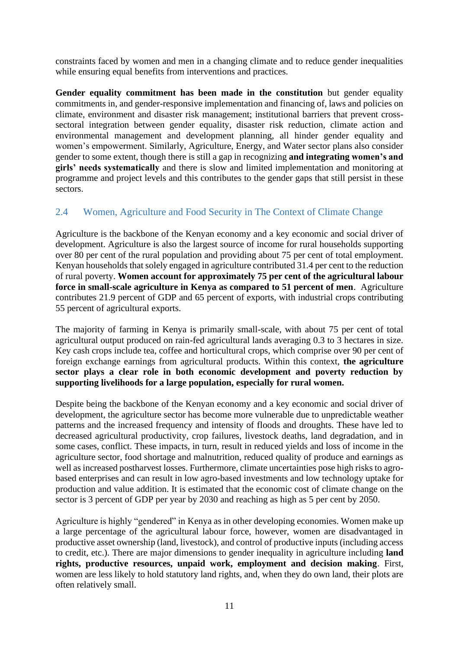constraints faced by women and men in a changing climate and to reduce gender inequalities while ensuring equal benefits from interventions and practices.

**Gender equality commitment has been made in the constitution** but gender equality commitments in, and gender-responsive implementation and financing of, laws and policies on climate, environment and disaster risk management; institutional barriers that prevent crosssectoral integration between gender equality, disaster risk reduction, climate action and environmental management and development planning, all hinder gender equality and women's empowerment. Similarly, Agriculture, Energy, and Water sector plans also consider gender to some extent, though there is still a gap in recognizing **and integrating women's and girls' needs systematically** and there is slow and limited implementation and monitoring at programme and project levels and this contributes to the gender gaps that still persist in these sectors.

### <span id="page-10-0"></span>2.4 Women, Agriculture and Food Security in The Context of Climate Change

Agriculture is the backbone of the Kenyan economy and a key economic and social driver of development. Agriculture is also the largest source of income for rural households supporting over 80 per cent of the rural population and providing about 75 per cent of total employment. Kenyan households that solely engaged in agriculture contributed 31.4 per cent to the reduction of rural poverty. **Women account for approximately 75 per cent of the agricultural labour force in small-scale agriculture in Kenya as compared to 51 percent of men**. Agriculture contributes 21.9 percent of GDP and 65 percent of exports, with industrial crops contributing 55 percent of agricultural exports.

The majority of farming in Kenya is primarily small-scale, with about 75 per cent of total agricultural output produced on rain-fed agricultural lands averaging 0.3 to 3 hectares in size. Key cash crops include tea, coffee and horticultural crops, which comprise over 90 per cent of foreign exchange earnings from agricultural products. Within this context, **the agriculture sector plays a clear role in both economic development and poverty reduction by supporting livelihoods for a large population, especially for rural women.** 

Despite being the backbone of the Kenyan economy and a key economic and social driver of development, the agriculture sector has become more vulnerable due to unpredictable weather patterns and the increased frequency and intensity of floods and droughts. These have led to decreased agricultural productivity, crop failures, livestock deaths, land degradation, and in some cases, conflict. These impacts, in turn, result in reduced yields and loss of income in the agriculture sector, food shortage and malnutrition, reduced quality of produce and earnings as well as increased postharvest losses. Furthermore, climate uncertainties pose high risks to agrobased enterprises and can result in low agro-based investments and low technology uptake for production and value addition. It is estimated that the economic cost of climate change on the sector is 3 percent of GDP per year by 2030 and reaching as high as 5 per cent by 2050.

Agriculture is highly "gendered" in Kenya as in other developing economies. Women make up a large percentage of the agricultural labour force, however, women are disadvantaged in productive asset ownership (land, livestock), and control of productive inputs (including access to credit, etc.). There are major dimensions to gender inequality in agriculture including **land rights, productive resources, unpaid work, employment and decision making**. First, women are less likely to hold statutory land rights, and, when they do own land, their plots are often relatively small.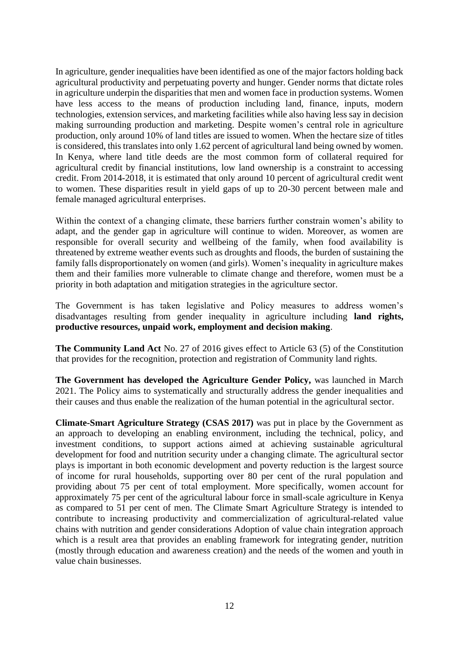In agriculture, gender inequalities have been identified as one of the major factors holding back agricultural productivity and perpetuating poverty and hunger. Gender norms that dictate roles in agriculture underpin the disparities that men and women face in production systems. Women have less access to the means of production including land, finance, inputs, modern technologies, extension services, and marketing facilities while also having less say in decision making surrounding production and marketing. Despite women's central role in agriculture production, only around 10% of land titles are issued to women. When the hectare size of titles is considered, this translates into only 1.62 percent of agricultural land being owned by women. In Kenya, where land title deeds are the most common form of collateral required for agricultural credit by financial institutions, low land ownership is a constraint to accessing credit. From 2014-2018, it is estimated that only around 10 percent of agricultural credit went to women. These disparities result in yield gaps of up to 20-30 percent between male and female managed agricultural enterprises.

Within the context of a changing climate, these barriers further constrain women's ability to adapt, and the gender gap in agriculture will continue to widen. Moreover, as women are responsible for overall security and wellbeing of the family, when food availability is threatened by extreme weather events such as droughts and floods, the burden of sustaining the family falls disproportionately on women (and girls). Women's inequality in agriculture makes them and their families more vulnerable to climate change and therefore, women must be a priority in both adaptation and mitigation strategies in the agriculture sector.

The Government is has taken legislative and Policy measures to address women's disadvantages resulting from gender inequality in agriculture including **land rights, productive resources, unpaid work, employment and decision making**.

**The Community Land Act** No. 27 of 2016 gives effect to Article 63 (5) of the Constitution that provides for the recognition, protection and registration of Community land rights.

**The Government has developed the Agriculture Gender Policy,** was launched in March 2021. The Policy aims to systematically and structurally address the gender inequalities and their causes and thus enable the realization of the human potential in the agricultural sector.

**Climate-Smart Agriculture Strategy (CSAS 2017)** was put in place by the Government as an approach to developing an enabling environment, including the technical, policy, and investment conditions, to support actions aimed at achieving sustainable agricultural development for food and nutrition security under a changing climate. The agricultural sector plays is important in both economic development and poverty reduction is the largest source of income for rural households, supporting over 80 per cent of the rural population and providing about 75 per cent of total employment. More specifically, women account for approximately 75 per cent of the agricultural labour force in small-scale agriculture in Kenya as compared to 51 per cent of men. The Climate Smart Agriculture Strategy is intended to contribute to increasing productivity and commercialization of agricultural-related value chains with nutrition and gender considerations Adoption of value chain integration approach which is a result area that provides an enabling framework for integrating gender, nutrition (mostly through education and awareness creation) and the needs of the women and youth in value chain businesses.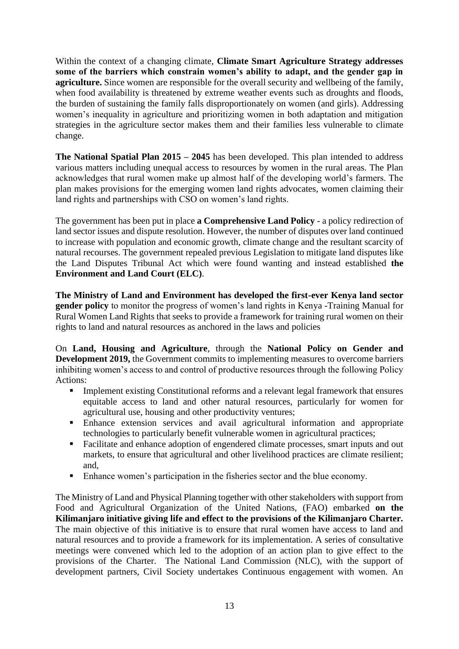Within the context of a changing climate, **Climate Smart Agriculture Strategy addresses some of the barriers which constrain women's ability to adapt, and the gender gap in agriculture.** Since women are responsible for the overall security and wellbeing of the family, when food availability is threatened by extreme weather events such as droughts and floods, the burden of sustaining the family falls disproportionately on women (and girls). Addressing women's inequality in agriculture and prioritizing women in both adaptation and mitigation strategies in the agriculture sector makes them and their families less vulnerable to climate change.

**The National Spatial Plan 2015 – 2045** has been developed. This plan intended to address various matters including unequal access to resources by women in the rural areas. The Plan acknowledges that rural women make up almost half of the developing world's farmers. The plan makes provisions for the emerging women land rights advocates, women claiming their land rights and partnerships with CSO on women's land rights.

The government has been put in place **a Comprehensive Land Policy** - a policy redirection of land sector issues and dispute resolution. However, the number of disputes over land continued to increase with population and economic growth, climate change and the resultant scarcity of natural recourses. The government repealed previous Legislation to mitigate land disputes like the Land Disputes Tribunal Act which were found wanting and instead established **the Environment and Land Court (ELC)**.

**The Ministry of Land and Environment has developed the first-ever Kenya land sector gender policy** to monitor the progress of women's land rights in Kenya -Training Manual for Rural Women Land Rights that seeks to provide a framework for training rural women on their rights to land and natural resources as anchored in the laws and policies

On **Land, Housing and Agriculture**, through the **National Policy on Gender and Development 2019,** the Government commits to implementing measures to overcome barriers inhibiting women's access to and control of productive resources through the following Policy Actions:

- **•** Implement existing Constitutional reforms and a relevant legal framework that ensures equitable access to land and other natural resources, particularly for women for agricultural use, housing and other productivity ventures;
- **Enhance extension services and avail agricultural information and appropriate** technologies to particularly benefit vulnerable women in agricultural practices;
- Facilitate and enhance adoption of engendered climate processes, smart inputs and out markets, to ensure that agricultural and other livelihood practices are climate resilient; and,
- Enhance women's participation in the fisheries sector and the blue economy.

The Ministry of Land and Physical Planning together with other stakeholders with support from Food and Agricultural Organization of the United Nations, (FAO) embarked **on the Kilimanjaro initiative giving life and effect to the provisions of the Kilimanjaro Charter.**  The main objective of this initiative is to ensure that rural women have access to land and natural resources and to provide a framework for its implementation. A series of consultative meetings were convened which led to the adoption of an action plan to give effect to the provisions of the Charter. The National Land Commission (NLC), with the support of development partners, Civil Society undertakes Continuous engagement with women. An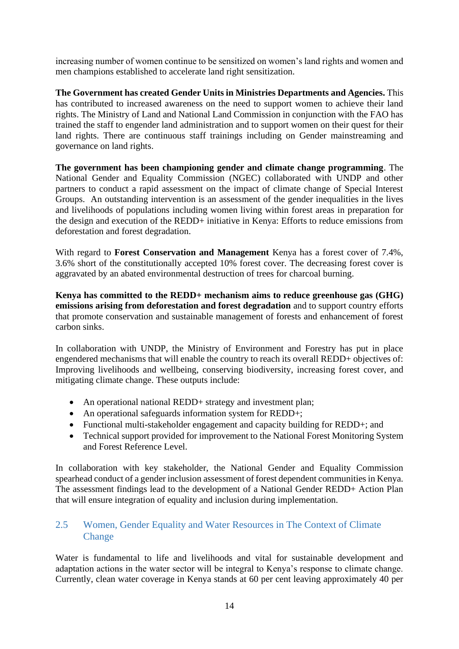increasing number of women continue to be sensitized on women's land rights and women and men champions established to accelerate land right sensitization.

**The Government has created Gender Units in Ministries Departments and Agencies.** This has contributed to increased awareness on the need to support women to achieve their land rights. The Ministry of Land and National Land Commission in conjunction with the FAO has trained the staff to engender land administration and to support women on their quest for their land rights. There are continuous staff trainings including on Gender mainstreaming and governance on land rights.

**The government has been championing gender and climate change programming**. The National Gender and Equality Commission (NGEC) collaborated with UNDP and other partners to conduct a rapid assessment on the impact of climate change of Special Interest Groups. An outstanding intervention is an assessment of the gender inequalities in the lives and livelihoods of populations including women living within forest areas in preparation for the design and execution of the REDD+ initiative in Kenya: Efforts to reduce emissions from deforestation and forest degradation.

With regard to **Forest Conservation and Management** Kenya has a forest cover of 7.4%, 3.6% short of the constitutionally accepted 10% forest cover. The decreasing forest cover is aggravated by an abated environmental destruction of trees for charcoal burning.

**Kenya has committed to the REDD+ mechanism aims to reduce greenhouse gas (GHG) emissions arising from deforestation and forest degradation** and to support country efforts that promote conservation and sustainable management of forests and enhancement of forest carbon sinks.

In collaboration with UNDP, the Ministry of Environment and Forestry has put in place engendered mechanisms that will enable the country to reach its overall REDD+ objectives of: Improving livelihoods and wellbeing, conserving biodiversity, increasing forest cover, and mitigating climate change. These outputs include:

- An operational national REDD+ strategy and investment plan;
- An operational safeguards information system for REDD+;
- Functional multi-stakeholder engagement and capacity building for REDD+; and
- Technical support provided for improvement to the National Forest Monitoring System and Forest Reference Level.

In collaboration with key stakeholder, the National Gender and Equality Commission spearhead conduct of a gender inclusion assessment of forest dependent communities in Kenya. The assessment findings lead to the development of a National Gender REDD+ Action Plan that will ensure integration of equality and inclusion during implementation.

### <span id="page-13-0"></span>2.5 Women, Gender Equality and Water Resources in The Context of Climate **Change**

Water is fundamental to life and livelihoods and vital for sustainable development and adaptation actions in the water sector will be integral to Kenya's response to climate change. Currently, clean water coverage in Kenya stands at 60 per cent leaving approximately 40 per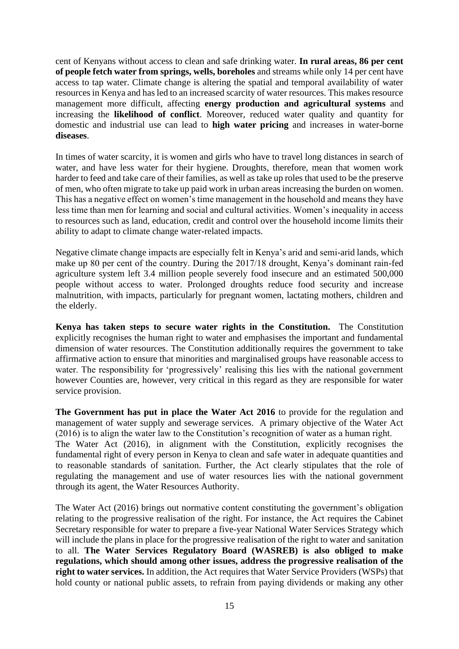cent of Kenyans without access to clean and safe drinking water. **In rural areas, 86 per cent of people fetch water from springs, wells, boreholes** and streams while only 14 per cent have access to tap water. Climate change is altering the spatial and temporal availability of water resources in Kenya and has led to an increased scarcity of water resources. This makes resource management more difficult, affecting **energy production and agricultural systems** and increasing the **likelihood of conflict**. Moreover, reduced water quality and quantity for domestic and industrial use can lead to **high water pricing** and increases in water-borne **diseases**.

In times of water scarcity, it is women and girls who have to travel long distances in search of water, and have less water for their hygiene. Droughts, therefore, mean that women work harder to feed and take care of their families, as well as take up roles that used to be the preserve of men, who often migrate to take up paid work in urban areas increasing the burden on women. This has a negative effect on women's time management in the household and means they have less time than men for learning and social and cultural activities. Women's inequality in access to resources such as land, education, credit and control over the household income limits their ability to adapt to climate change water-related impacts.

Negative climate change impacts are especially felt in Kenya's arid and semi-arid lands, which make up 80 per cent of the country. During the 2017/18 drought, Kenya's dominant rain-fed agriculture system left 3.4 million people severely food insecure and an estimated 500,000 people without access to water. Prolonged droughts reduce food security and increase malnutrition, with impacts, particularly for pregnant women, lactating mothers, children and the elderly.

**Kenya has taken steps to secure water rights in the Constitution.** The Constitution explicitly recognises the human right to water and emphasises the important and fundamental dimension of water resources. The Constitution additionally requires the government to take affirmative action to ensure that minorities and marginalised groups have reasonable access to water. The responsibility for 'progressively' realising this lies with the national government however Counties are, however, very critical in this regard as they are responsible for water service provision.

**The Government has put in place the Water Act 2016** to provide for the regulation and management of water supply and sewerage services. A primary objective of the Water Act (2016) is to align the water law to the Constitution's recognition of water as a human right. The Water Act (2016), in alignment with the Constitution, explicitly recognises the fundamental right of every person in Kenya to clean and safe water in adequate quantities and to reasonable standards of sanitation. Further, the Act clearly stipulates that the role of regulating the management and use of water resources lies with the national government through its agent, the Water Resources Authority.

The Water Act (2016) brings out normative content constituting the government's obligation relating to the progressive realisation of the right. For instance, the Act requires the Cabinet Secretary responsible for water to prepare a five-year National Water Services Strategy which will include the plans in place for the progressive realisation of the right to water and sanitation to all. **The Water Services Regulatory Board (WASREB) is also obliged to make regulations, which should among other issues, address the progressive realisation of the right to water services.** In addition, the Act requires that Water Service Providers (WSPs) that hold county or national public assets, to refrain from paying dividends or making any other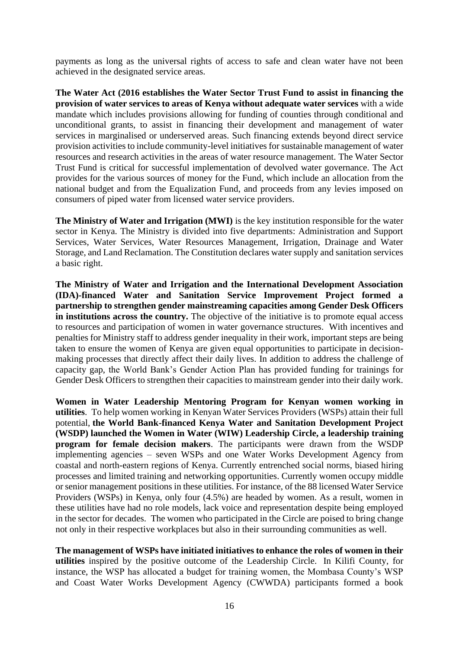payments as long as the universal rights of access to safe and clean water have not been achieved in the designated service areas.

**The Water Act (2016 establishes the Water Sector Trust Fund to assist in financing the provision of water services to areas of Kenya without adequate water services** with a wide mandate which includes provisions allowing for funding of counties through conditional and unconditional grants, to assist in financing their development and management of water services in marginalised or underserved areas. Such financing extends beyond direct service provision activities to include community-level initiatives for sustainable management of water resources and research activities in the areas of water resource management. The Water Sector Trust Fund is critical for successful implementation of devolved water governance. The Act provides for the various sources of money for the Fund, which include an allocation from the national budget and from the Equalization Fund, and proceeds from any levies imposed on consumers of piped water from licensed water service providers.

**The Ministry of Water and Irrigation (MWI)** is the key institution responsible for the water sector in Kenya. The Ministry is divided into five departments: Administration and Support Services, Water Services, Water Resources Management, Irrigation, Drainage and Water Storage, and Land Reclamation. The Constitution declares water supply and sanitation services a basic right.

**The Ministry of Water and Irrigation and the International Development Association (IDA)-financed Water and Sanitation Service Improvement Project formed a partnership to strengthen gender mainstreaming capacities among Gender Desk Officers in institutions across the country.** The objective of the initiative is to promote equal access to resources and participation of women in water governance structures. With incentives and penalties for Ministry staff to address gender inequality in their work, important steps are being taken to ensure the women of Kenya are given equal opportunities to participate in decisionmaking processes that directly affect their daily lives. In addition to address the challenge of capacity gap, the World Bank's Gender Action Plan has provided funding for trainings for Gender Desk Officers to strengthen their capacities to mainstream gender into their daily work.

**Women in Water Leadership Mentoring Program for Kenyan women working in utilities**. To help women working in Kenyan Water Services Providers (WSPs) attain their full potential, **the World Bank-financed Kenya Water and Sanitation Development Project (WSDP) launched the Women in Water (WIW) Leadership Circle, a leadership training program for female decision makers**. The participants were drawn from the WSDP implementing agencies – seven WSPs and one Water Works Development Agency from coastal and north-eastern regions of Kenya. Currently entrenched social norms, biased hiring processes and limited training and networking opportunities. Currently women occupy middle or senior management positions in these utilities. For instance, of the 88 licensed Water Service Providers (WSPs) in Kenya, only four (4.5%) are headed by women. As a result, women in these utilities have had no role models, lack voice and representation despite being employed in the sector for decades. The women who participated in the Circle are poised to bring change not only in their respective workplaces but also in their surrounding communities as well.

**The management of WSPs have initiated initiatives to enhance the roles of women in their utilities** inspired by the positive outcome of the Leadership Circle. In Kilifi County, for instance, the WSP has allocated a budget for training women, the Mombasa County's WSP and Coast Water Works Development Agency (CWWDA) participants formed a book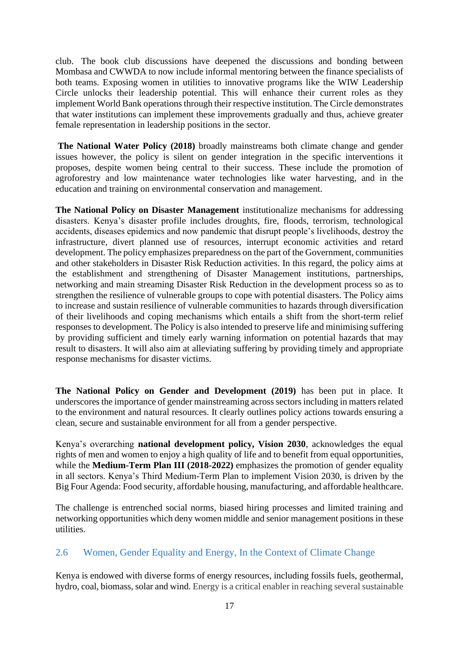club. The book club discussions have deepened the discussions and bonding between Mombasa and CWWDA to now include informal mentoring between the finance specialists of both teams. Exposing women in utilities to innovative programs like the WIW Leadership Circle unlocks their leadership potential. This will enhance their current roles as they implement World Bank operations through their respective institution. The Circle demonstrates that water institutions can implement these improvements gradually and thus, achieve greater female representation in leadership positions in the sector.

**The National Water Policy (2018)** broadly mainstreams both climate change and gender issues however, the policy is silent on gender integration in the specific interventions it proposes, despite women being central to their success. These include the promotion of agroforestry and low maintenance water technologies like water harvesting, and in the education and training on environmental conservation and management.

**The National Policy on Disaster Management** institutionalize mechanisms for addressing disasters. Kenya's disaster profile includes droughts, fire, floods, terrorism, technological accidents, diseases epidemics and now pandemic that disrupt people's livelihoods, destroy the infrastructure, divert planned use of resources, interrupt economic activities and retard development. The policy emphasizes preparedness on the part of the Government, communities and other stakeholders in Disaster Risk Reduction activities. In this regard, the policy aims at the establishment and strengthening of Disaster Management institutions, partnerships, networking and main streaming Disaster Risk Reduction in the development process so as to strengthen the resilience of vulnerable groups to cope with potential disasters. The Policy aims to increase and sustain resilience of vulnerable communities to hazards through diversification of their livelihoods and coping mechanisms which entails a shift from the short-term relief responses to development. The Policy is also intended to preserve life and minimising suffering by providing sufficient and timely early warning information on potential hazards that may result to disasters. It will also aim at alleviating suffering by providing timely and appropriate response mechanisms for disaster victims.

**The National Policy on Gender and Development (2019)** has been put in place. It underscores the importance of gender mainstreaming across sectors including in matters related to the environment and natural resources. It clearly outlines policy actions towards ensuring a clean, secure and sustainable environment for all from a gender perspective.

Kenya's overarching **national development policy, Vision 2030**, acknowledges the equal rights of men and women to enjoy a high quality of life and to benefit from equal opportunities, while the **Medium-Term Plan III** (2018-2022) emphasizes the promotion of gender equality in all sectors. Kenya's Third Medium-Term Plan to implement Vision 2030, is driven by the Big Four Agenda: Food security, affordable housing, manufacturing, and affordable healthcare.

The challenge is entrenched social norms, biased hiring processes and limited training and networking opportunities which deny women middle and senior management positions in these utilities.

## <span id="page-16-0"></span>2.6 Women, Gender Equality and Energy, In the Context of Climate Change

Kenya is endowed with diverse forms of energy resources, including fossils fuels, geothermal, hydro, coal, biomass, solar and wind. Energy is a critical enabler in reaching several sustainable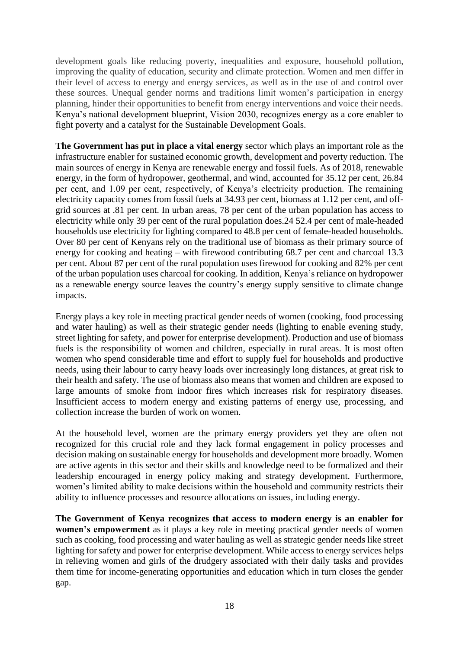development goals like reducing poverty, inequalities and exposure, household pollution, improving the quality of education, security and climate protection. Women and men differ in their level of access to energy and energy services, as well as in the use of and control over these sources. Unequal gender norms and traditions limit women's participation in energy planning, hinder their opportunities to benefit from energy interventions and voice their needs. Kenya's national development blueprint, Vision 2030, recognizes energy as a core enabler to fight poverty and a catalyst for the Sustainable Development Goals.

**The Government has put in place a vital energy** sector which plays an important role as the infrastructure enabler for sustained economic growth, development and poverty reduction. The main sources of energy in Kenya are renewable energy and fossil fuels. As of 2018, renewable energy, in the form of hydropower, geothermal, and wind, accounted for 35.12 per cent, 26.84 per cent, and 1.09 per cent, respectively, of Kenya's electricity production. The remaining electricity capacity comes from fossil fuels at 34.93 per cent, biomass at 1.12 per cent, and offgrid sources at .81 per cent. In urban areas, 78 per cent of the urban population has access to electricity while only 39 per cent of the rural population does.24 52.4 per cent of male-headed households use electricity for lighting compared to 48.8 per cent of female-headed households. Over 80 per cent of Kenyans rely on the traditional use of biomass as their primary source of energy for cooking and heating – with firewood contributing 68.7 per cent and charcoal 13.3 per cent. About 87 per cent of the rural population uses firewood for cooking and 82% per cent of the urban population uses charcoal for cooking. In addition, Kenya's reliance on hydropower as a renewable energy source leaves the country's energy supply sensitive to climate change impacts.

Energy plays a key role in meeting practical gender needs of women (cooking, food processing and water hauling) as well as their strategic gender needs (lighting to enable evening study, street lighting for safety, and power for enterprise development). Production and use of biomass fuels is the responsibility of women and children, especially in rural areas. It is most often women who spend considerable time and effort to supply fuel for households and productive needs, using their labour to carry heavy loads over increasingly long distances, at great risk to their health and safety. The use of biomass also means that women and children are exposed to large amounts of smoke from indoor fires which increases risk for respiratory diseases. Insufficient access to modern energy and existing patterns of energy use, processing, and collection increase the burden of work on women.

At the household level, women are the primary energy providers yet they are often not recognized for this crucial role and they lack formal engagement in policy processes and decision making on sustainable energy for households and development more broadly. Women are active agents in this sector and their skills and knowledge need to be formalized and their leadership encouraged in energy policy making and strategy development. Furthermore, women's limited ability to make decisions within the household and community restricts their ability to influence processes and resource allocations on issues, including energy.

**The Government of Kenya recognizes that access to modern energy is an enabler for women's empowerment** as it plays a key role in meeting practical gender needs of women such as cooking, food processing and water hauling as well as strategic gender needs like street lighting for safety and power for enterprise development. While access to energy services helps in relieving women and girls of the drudgery associated with their daily tasks and provides them time for income-generating opportunities and education which in turn closes the gender gap.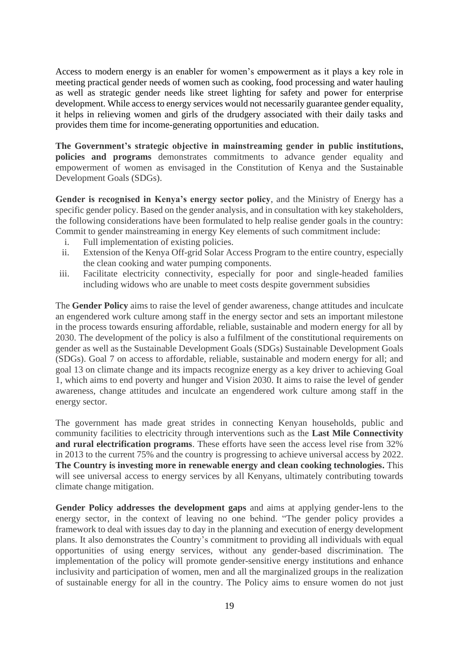Access to modern energy is an enabler for women's empowerment as it plays a key role in meeting practical gender needs of women such as cooking, food processing and water hauling as well as strategic gender needs like street lighting for safety and power for enterprise development. While access to energy services would not necessarily guarantee gender equality, it helps in relieving women and girls of the drudgery associated with their daily tasks and provides them time for income-generating opportunities and education.

**The Government's strategic objective in mainstreaming gender in public institutions, policies and programs** demonstrates commitments to advance gender equality and empowerment of women as envisaged in the Constitution of Kenya and the Sustainable Development Goals (SDGs).

**Gender is recognised in Kenya's energy sector policy**, and the Ministry of Energy has a specific gender policy. Based on the gender analysis, and in consultation with key stakeholders, the following considerations have been formulated to help realise gender goals in the country: Commit to gender mainstreaming in energy Key elements of such commitment include:

- i. Full implementation of existing policies.
- ii. Extension of the Kenya Off-grid Solar Access Program to the entire country, especially the clean cooking and water pumping components.
- iii. Facilitate electricity connectivity, especially for poor and single-headed families including widows who are unable to meet costs despite government subsidies

The **Gender Policy** aims to raise the level of gender awareness, change attitudes and inculcate an engendered work culture among staff in the energy sector and sets an important milestone in the process towards ensuring affordable, reliable, sustainable and modern energy for all by 2030. The development of the policy is also a fulfilment of the constitutional requirements on gender as well as the Sustainable Development Goals (SDGs) Sustainable Development Goals (SDGs). Goal 7 on access to affordable, reliable, sustainable and modern energy for all; and goal 13 on climate change and its impacts recognize energy as a key driver to achieving Goal 1, which aims to end poverty and hunger and Vision 2030. It aims to raise the level of gender awareness, change attitudes and inculcate an engendered work culture among staff in the energy sector.

The government has made great strides in connecting Kenyan households, public and community facilities to electricity through interventions such as the **Last Mile Connectivity and rural electrification programs**. These efforts have seen the access level rise from 32% in 2013 to the current 75% and the country is progressing to achieve universal access by 2022. **The Country is investing more in renewable energy and clean cooking technologies.** This will see universal access to energy services by all Kenyans, ultimately contributing towards climate change mitigation.

**Gender Policy addresses the development gaps** and aims at applying gender-lens to the energy sector, in the context of leaving no one behind. "The gender policy provides a framework to deal with issues day to day in the planning and execution of energy development plans. It also demonstrates the Country's commitment to providing all individuals with equal opportunities of using energy services, without any gender-based discrimination. The implementation of the policy will promote gender-sensitive energy institutions and enhance inclusivity and participation of women, men and all the marginalized groups in the realization of sustainable energy for all in the country. The Policy aims to ensure women do not just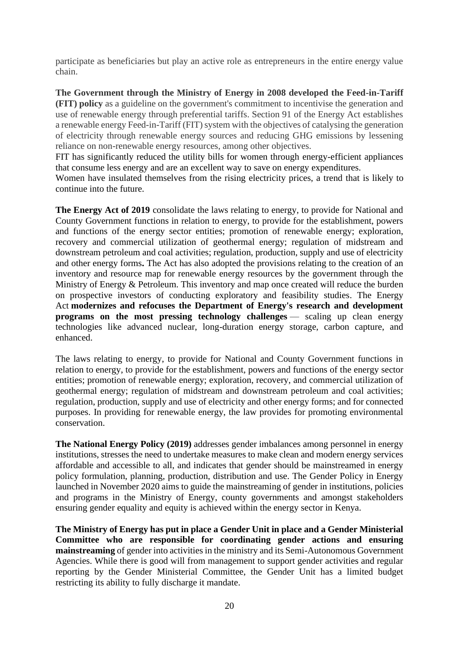participate as beneficiaries but play an active role as entrepreneurs in the entire energy value chain.

**The Government through the Ministry of Energy in 2008 developed the Feed-in-Tariff (FIT) policy** as a guideline on the government's commitment to incentivise the generation and use of renewable energy through preferential tariffs. Section 91 of the Energy Act establishes a renewable energy Feed-in-Tariff (FIT) system with the objectives of catalysing the generation of electricity through renewable energy sources and reducing GHG emissions by lessening reliance on non-renewable energy resources, among other objectives.

FIT has significantly reduced the utility bills for women through energy-efficient appliances that consume less energy and are an excellent way to save on energy expenditures.

Women have insulated themselves from the rising electricity prices, a trend that is likely to continue into the future.

**The Energy Act of 2019** consolidate the laws relating to energy, to provide for National and County Government functions in relation to energy, to provide for the establishment, powers and functions of the energy sector entities; promotion of renewable energy; exploration, recovery and commercial utilization of geothermal energy; regulation of midstream and downstream petroleum and coal activities; regulation, production, supply and use of electricity and other energy forms**.** The Act has also adopted the provisions relating to the creation of an inventory and resource map for renewable energy resources by the government through the Ministry of Energy & Petroleum. This inventory and map once created will reduce the burden on prospective investors of conducting exploratory and feasibility studies. The Energy Act **modernizes and refocuses the Department of Energy's research and development programs on the most pressing technology challenges** — scaling up clean energy technologies like advanced nuclear, long-duration energy storage, carbon capture, and enhanced.

The laws relating to energy, to provide for National and County Government functions in relation to energy, to provide for the establishment, powers and functions of the energy sector entities; promotion of renewable energy; exploration, recovery, and commercial utilization of geothermal energy; regulation of midstream and downstream petroleum and coal activities; regulation, production, supply and use of electricity and other energy forms; and for connected purposes. In providing for renewable energy, the law provides for promoting environmental conservation.

**The National Energy Policy (2019)** addresses gender imbalances among personnel in energy institutions, stresses the need to undertake measures to make clean and modern energy services affordable and accessible to all, and indicates that gender should be mainstreamed in energy policy formulation, planning, production, distribution and use. The Gender Policy in Energy launched in November 2020 aims to guide the mainstreaming of gender in institutions, policies and programs in the Ministry of Energy, county governments and amongst stakeholders ensuring gender equality and equity is achieved within the energy sector in Kenya.

**The Ministry of Energy has put in place a Gender Unit in place and a Gender Ministerial Committee who are responsible for coordinating gender actions and ensuring mainstreaming** of gender into activities in the ministry and its Semi-Autonomous Government Agencies. While there is good will from management to support gender activities and regular reporting by the Gender Ministerial Committee, the Gender Unit has a limited budget restricting its ability to fully discharge it mandate.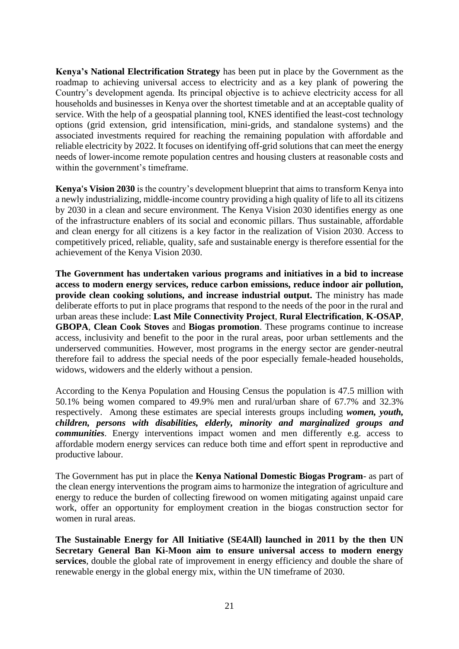**Kenya's National Electrification Strategy** has been put in place by the Government as the roadmap to achieving universal access to electricity and as a key plank of powering the Country's development agenda. Its principal objective is to achieve electricity access for all households and businesses in Kenya over the shortest timetable and at an acceptable quality of service. With the help of a geospatial planning tool, KNES identified the least-cost technology options (grid extension, grid intensification, mini-grids, and standalone systems) and the associated investments required for reaching the remaining population with affordable and reliable electricity by 2022. It focuses on identifying off-grid solutions that can meet the energy needs of lower-income remote population centres and housing clusters at reasonable costs and within the government's timeframe.

**Kenya's Vision 2030** is the country's development blueprint that aims to transform Kenya into a newly industrializing, middle-income country providing a high quality of life to all its citizens by 2030 in a clean and secure environment. The Kenya Vision 2030 identifies energy as one of the infrastructure enablers of its social and economic pillars. Thus sustainable, affordable and clean energy for all citizens is a key factor in the realization of Vision 2030. Access to competitively priced, reliable, quality, safe and sustainable energy is therefore essential for the achievement of the Kenya Vision 2030.

**The Government has undertaken various programs and initiatives in a bid to increase access to modern energy services, reduce carbon emissions, reduce indoor air pollution, provide clean cooking solutions, and increase industrial output.** The ministry has made deliberate efforts to put in place programs that respond to the needs of the poor in the rural and urban areas these include: **Last Mile Connectivity Project**, **Rural Electrification**, **K-OSAP**, **GBOPA**, **Clean Cook Stoves** and **Biogas promotion**. These programs continue to increase access, inclusivity and benefit to the poor in the rural areas, poor urban settlements and the underserved communities. However, most programs in the energy sector are gender-neutral therefore fail to address the special needs of the poor especially female-headed households, widows, widowers and the elderly without a pension.

According to the Kenya Population and Housing Census the population is 47.5 million with 50.1% being women compared to 49.9% men and rural/urban share of 67.7% and 32.3% respectively. Among these estimates are special interests groups including *women, youth, children, persons with disabilities, elderly, minority and marginalized groups and communities*. Energy interventions impact women and men differently e.g. access to affordable modern energy services can reduce both time and effort spent in reproductive and productive labour.

The Government has put in place the **Kenya National Domestic Biogas Program**- as part of the clean energy interventions the program aims to harmonize the integration of agriculture and energy to reduce the burden of collecting firewood on women mitigating against unpaid care work, offer an opportunity for employment creation in the biogas construction sector for women in rural areas.

**The Sustainable Energy for All Initiative (SE4All) launched in 2011 by the then UN Secretary General Ban Ki-Moon aim to ensure universal access to modern energy services**, double the global rate of improvement in energy efficiency and double the share of renewable energy in the global energy mix, within the UN timeframe of 2030.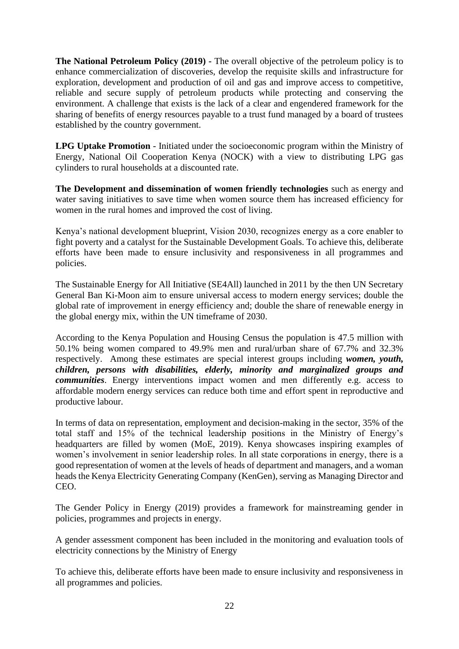**The National Petroleum Policy (2019) -** The overall objective of the petroleum policy is to enhance commercialization of discoveries, develop the requisite skills and infrastructure for exploration, development and production of oil and gas and improve access to competitive, reliable and secure supply of petroleum products while protecting and conserving the environment. A challenge that exists is the lack of a clear and engendered framework for the sharing of benefits of energy resources payable to a trust fund managed by a board of trustees established by the country government.

**LPG Uptake Promotion** - Initiated under the socioeconomic program within the Ministry of Energy, National Oil Cooperation Kenya (NOCK) with a view to distributing LPG gas cylinders to rural households at a discounted rate.

**The Development and dissemination of women friendly technologies** such as energy and water saving initiatives to save time when women source them has increased efficiency for women in the rural homes and improved the cost of living.

Kenya's national development blueprint, Vision 2030, recognizes energy as a core enabler to fight poverty and a catalyst for the Sustainable Development Goals. To achieve this, deliberate efforts have been made to ensure inclusivity and responsiveness in all programmes and policies.

The Sustainable Energy for All Initiative (SE4All) launched in 2011 by the then UN Secretary General Ban Ki-Moon aim to ensure universal access to modern energy services; double the global rate of improvement in energy efficiency and; double the share of renewable energy in the global energy mix, within the UN timeframe of 2030.

According to the Kenya Population and Housing Census the population is 47.5 million with 50.1% being women compared to 49.9% men and rural/urban share of 67.7% and 32.3% respectively. Among these estimates are special interest groups including *women, youth, children, persons with disabilities, elderly, minority and marginalized groups and communities*. Energy interventions impact women and men differently e.g. access to affordable modern energy services can reduce both time and effort spent in reproductive and productive labour.

In terms of data on representation, employment and decision-making in the sector, 35% of the total staff and 15% of the technical leadership positions in the Ministry of Energy's headquarters are filled by women (MoE, 2019). Kenya showcases inspiring examples of women's involvement in senior leadership roles. In all state corporations in energy, there is a good representation of women at the levels of heads of department and managers, and a woman heads the Kenya Electricity Generating Company (KenGen), serving as Managing Director and CEO.

The Gender Policy in Energy (2019) provides a framework for mainstreaming gender in policies, programmes and projects in energy.

A gender assessment component has been included in the monitoring and evaluation tools of electricity connections by the Ministry of Energy

To achieve this, deliberate efforts have been made to ensure inclusivity and responsiveness in all programmes and policies.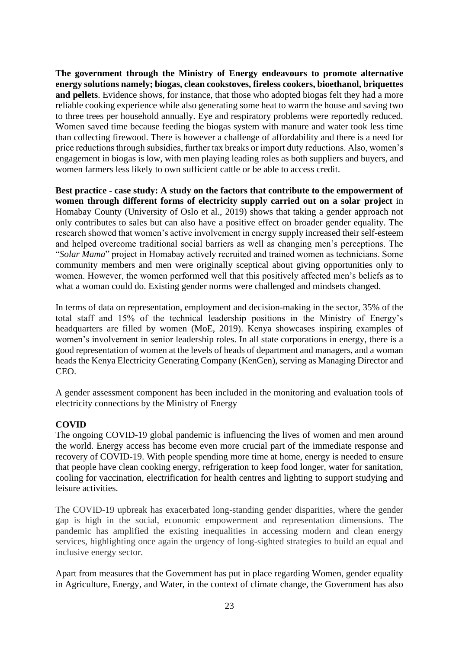**The government through the Ministry of Energy endeavours to promote alternative energy solutions namely; biogas, clean cookstoves, fireless cookers, bioethanol, briquettes and pellets**. Evidence shows, for instance, that those who adopted biogas felt they had a more reliable cooking experience while also generating some heat to warm the house and saving two to three trees per household annually. Eye and respiratory problems were reportedly reduced. Women saved time because feeding the biogas system with manure and water took less time than collecting firewood. There is however a challenge of affordability and there is a need for price reductions through subsidies, further tax breaks or import duty reductions. Also, women's engagement in biogas is low, with men playing leading roles as both suppliers and buyers, and women farmers less likely to own sufficient cattle or be able to access credit.

**Best practice - case study: A study on the factors that contribute to the empowerment of women through different forms of electricity supply carried out on a solar project** in Homabay County (University of Oslo et al., 2019) shows that taking a gender approach not only contributes to sales but can also have a positive effect on broader gender equality. The research showed that women's active involvement in energy supply increased their self-esteem and helped overcome traditional social barriers as well as changing men's perceptions. The "*Solar Mama*" project in Homabay actively recruited and trained women as technicians. Some community members and men were originally sceptical about giving opportunities only to women. However, the women performed well that this positively affected men's beliefs as to what a woman could do. Existing gender norms were challenged and mindsets changed.

In terms of data on representation, employment and decision-making in the sector, 35% of the total staff and 15% of the technical leadership positions in the Ministry of Energy's headquarters are filled by women (MoE, 2019). Kenya showcases inspiring examples of women's involvement in senior leadership roles. In all state corporations in energy, there is a good representation of women at the levels of heads of department and managers, and a woman heads the Kenya Electricity Generating Company (KenGen), serving as Managing Director and CEO.

A gender assessment component has been included in the monitoring and evaluation tools of electricity connections by the Ministry of Energy

#### **COVID**

The ongoing COVID-19 global pandemic is influencing the lives of women and men around the world. Energy access has become even more crucial part of the immediate response and recovery of COVID-19. With people spending more time at home, energy is needed to ensure that people have clean cooking energy, refrigeration to keep food longer, water for sanitation, cooling for vaccination, electrification for health centres and lighting to support studying and leisure activities.

The COVID-19 upbreak has exacerbated long-standing gender disparities, where the gender gap is high in the social, economic empowerment and representation dimensions. The pandemic has amplified the existing inequalities in accessing modern and clean energy services, highlighting once again the urgency of long-sighted strategies to build an equal and inclusive energy sector.

Apart from measures that the Government has put in place regarding Women, gender equality in Agriculture, Energy, and Water, in the context of climate change, the Government has also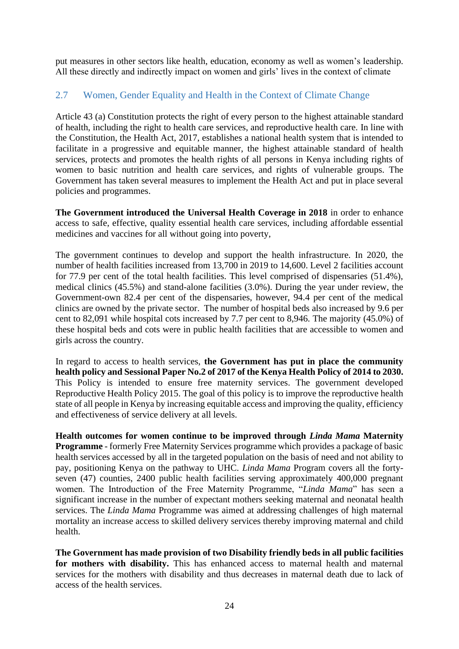put measures in other sectors like health, education, economy as well as women's leadership. All these directly and indirectly impact on women and girls' lives in the context of climate

## <span id="page-23-0"></span>2.7 Women, Gender Equality and Health in the Context of Climate Change

Article 43 (a) Constitution protects the right of every person to the highest attainable standard of health, including the right to health care services, and reproductive health care. In line with the Constitution, the Health Act, 2017, establishes a national health system that is intended to facilitate in a progressive and equitable manner, the highest attainable standard of health services, protects and promotes the health rights of all persons in Kenya including rights of women to basic nutrition and health care services, and rights of vulnerable groups. The Government has taken several measures to implement the Health Act and put in place several policies and programmes.

**The Government introduced the Universal Health Coverage in 2018** in order to enhance access to safe, effective, quality essential health care services, including affordable essential medicines and vaccines for all without going into poverty,

The government continues to develop and support the health infrastructure. In 2020, the number of health facilities increased from 13,700 in 2019 to 14,600. Level 2 facilities account for 77.9 per cent of the total health facilities. This level comprised of dispensaries (51.4%), medical clinics (45.5%) and stand-alone facilities (3.0%). During the year under review, the Government-own 82.4 per cent of the dispensaries, however, 94.4 per cent of the medical clinics are owned by the private sector. The number of hospital beds also increased by 9.6 per cent to 82,091 while hospital cots increased by 7.7 per cent to 8,946. The majority (45.0%) of these hospital beds and cots were in public health facilities that are accessible to women and girls across the country.

In regard to access to health services, **the Government has put in place the community health policy and Sessional Paper No.2 of 2017 of the Kenya Health Policy of 2014 to 2030.** This Policy is intended to ensure free maternity services. The government developed Reproductive Health Policy 2015. The goal of this policy is to improve the reproductive health state of all people in Kenya by increasing equitable access and improving the quality, efficiency and effectiveness of service delivery at all levels.

**Health outcomes for women continue to be improved through** *Linda Mama* **Maternity Programme** - formerly Free Maternity Services programme which provides a package of basic health services accessed by all in the targeted population on the basis of need and not ability to pay, positioning Kenya on the pathway to UHC. *Linda Mama* Program covers all the fortyseven (47) counties, 2400 public health facilities serving approximately 400,000 pregnant women. The Introduction of the Free Maternity Programme, "*Linda Mama*" has seen a significant increase in the number of expectant mothers seeking maternal and neonatal health services. The *Linda Mama* Programme was aimed at addressing challenges of high maternal mortality an increase access to skilled delivery services thereby improving maternal and child health.

**The Government has made provision of two Disability friendly beds in all public facilities for mothers with disability.** This has enhanced access to maternal health and maternal services for the mothers with disability and thus decreases in maternal death due to lack of access of the health services.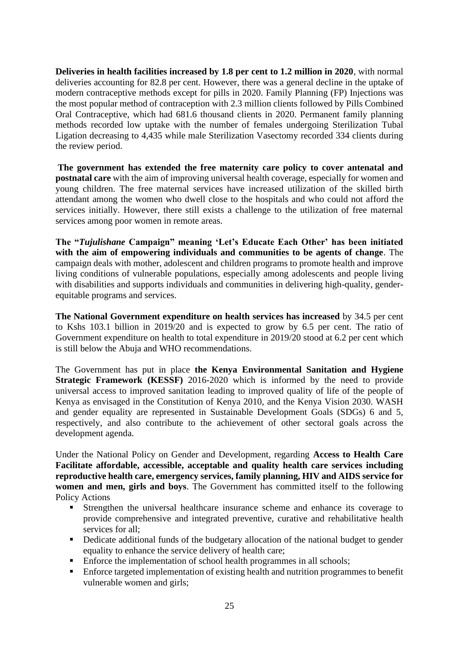**Deliveries in health facilities increased by 1.8 per cent to 1.2 million in 2020**, with normal deliveries accounting for 82.8 per cent. However, there was a general decline in the uptake of modern contraceptive methods except for pills in 2020. Family Planning (FP) Injections was the most popular method of contraception with 2.3 million clients followed by Pills Combined Oral Contraceptive, which had 681.6 thousand clients in 2020. Permanent family planning methods recorded low uptake with the number of females undergoing Sterilization Tubal Ligation decreasing to 4,435 while male Sterilization Vasectomy recorded 334 clients during the review period.

**The government has extended the free maternity care policy to cover antenatal and postnatal care** with the aim of improving universal health coverage, especially for women and young children. The free maternal services have increased utilization of the skilled birth attendant among the women who dwell close to the hospitals and who could not afford the services initially. However, there still exists a challenge to the utilization of free maternal services among poor women in remote areas.

**The "***Tujulishane* **Campaign" meaning 'Let's Educate Each Other' has been initiated with the aim of empowering individuals and communities to be agents of change**. The campaign deals with mother, adolescent and children programs to promote health and improve living conditions of vulnerable populations, especially among adolescents and people living with disabilities and supports individuals and communities in delivering high-quality, genderequitable programs and services.

**The National Government expenditure on health services has increased** by 34.5 per cent to Kshs 103.1 billion in 2019/20 and is expected to grow by 6.5 per cent. The ratio of Government expenditure on health to total expenditure in 2019/20 stood at 6.2 per cent which is still below the Abuja and WHO recommendations.

The Government has put in place **the Kenya Environmental Sanitation and Hygiene Strategic Framework (KESSF)** 2016-2020 which is informed by the need to provide universal access to improved sanitation leading to improved quality of life of the people of Kenya as envisaged in the Constitution of Kenya 2010, and the Kenya Vision 2030. WASH and gender equality are represented in Sustainable Development Goals (SDGs) 6 and 5, respectively, and also contribute to the achievement of other sectoral goals across the development agenda.

Under the National Policy on Gender and Development, regarding **Access to Health Care Facilitate affordable, accessible, acceptable and quality health care services including reproductive health care, emergency services, family planning, HIV and AIDS service for women and men, girls and boys**. The Government has committed itself to the following Policy Actions

- **EXTERGHERICH STRENGTER INCREDIST IN STRENGTER IN STRENGTER IS COVERAGE TO STRENGTER IS STRENGTER** STRENGTER STRENGTER STRENGTER STRENGTER STRENGTER STRENGTER STRENGTER STRENGTER STRENGTER STRENGTER STRENGTER STRENGTER STR provide comprehensive and integrated preventive, curative and rehabilitative health services for all;
- Dedicate additional funds of the budgetary allocation of the national budget to gender equality to enhance the service delivery of health care;
- Enforce the implementation of school health programmes in all schools;
- Enforce targeted implementation of existing health and nutrition programmes to benefit vulnerable women and girls;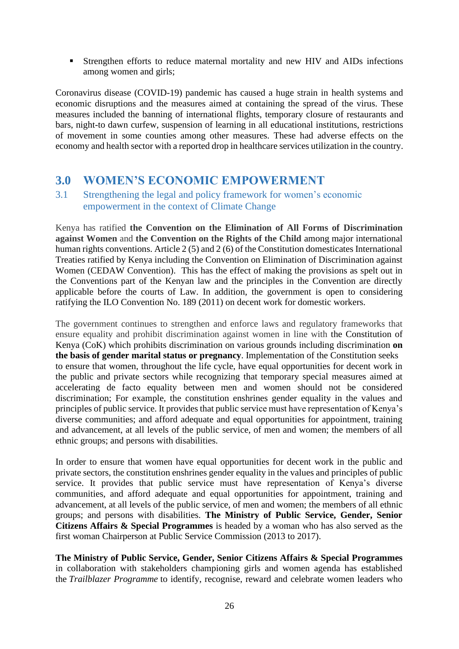**EXTERGISHER EFFORTS** to reduce maternal mortality and new HIV and AIDs infections among women and girls;

Coronavirus disease (COVID-19) pandemic has caused a huge strain in health systems and economic disruptions and the measures aimed at containing the spread of the virus. These measures included the banning of international flights, temporary closure of restaurants and bars, night-to dawn curfew, suspension of learning in all educational institutions, restrictions of movement in some counties among other measures. These had adverse effects on the economy and health sector with a reported drop in healthcare services utilization in the country.

## <span id="page-25-0"></span>**3.0 WOMEN'S ECONOMIC EMPOWERMENT**

#### <span id="page-25-1"></span>3.1 Strengthening the legal and policy framework for women's economic empowerment in the context of Climate Change

Kenya has ratified **the Convention on the Elimination of All Forms of Discrimination against Women** and **the Convention on the Rights of the Child** among major international human rights conventions. Article 2 (5) and 2 (6) of the Constitution domesticates International Treaties ratified by Kenya including the Convention on Elimination of Discrimination against Women (CEDAW Convention). This has the effect of making the provisions as spelt out in the Conventions part of the Kenyan law and the principles in the Convention are directly applicable before the courts of Law. In addition, the government is open to considering ratifying the ILO Convention No. 189 (2011) on decent work for domestic workers.

The government continues to strengthen and enforce laws and regulatory frameworks that ensure equality and prohibit discrimination against women in line with the Constitution of Kenya (CoK) which prohibits discrimination on various grounds including discrimination **on the basis of gender marital status or pregnancy**. Implementation of the Constitution seeks to ensure that women, throughout the life cycle, have equal opportunities for decent work in the public and private sectors while recognizing that temporary special measures aimed at accelerating de facto equality between men and women should not be considered discrimination; For example, the constitution enshrines gender equality in the values and principles of public service. It provides that public service must have representation of Kenya's diverse communities; and afford adequate and equal opportunities for appointment, training and advancement, at all levels of the public service, of men and women; the members of all ethnic groups; and persons with disabilities.

In order to ensure that women have equal opportunities for decent work in the public and private sectors, the constitution enshrines gender equality in the values and principles of public service. It provides that public service must have representation of Kenya's diverse communities, and afford adequate and equal opportunities for appointment, training and advancement, at all levels of the public service, of men and women; the members of all ethnic groups; and persons with disabilities. **The Ministry of Public Service, Gender, Senior Citizens Affairs & Special Programmes** is headed by a woman who has also served as the first woman Chairperson at Public Service Commission (2013 to 2017).

**The Ministry of Public Service, Gender, Senior Citizens Affairs & Special Programmes** in collaboration with stakeholders championing girls and women agenda has established the *Trailblazer Programme* to identify, recognise, reward and celebrate women leaders who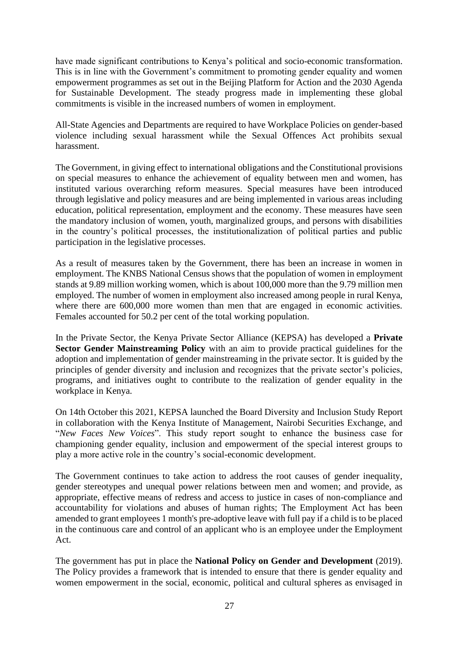have made significant contributions to Kenya's political and socio-economic transformation. This is in line with the Government's commitment to promoting gender equality and women empowerment programmes as set out in the Beijing Platform for Action and the 2030 Agenda for Sustainable Development. The steady progress made in implementing these global commitments is visible in the increased numbers of women in employment.

All-State Agencies and Departments are required to have Workplace Policies on gender-based violence including sexual harassment while the Sexual Offences Act prohibits sexual harassment.

The Government, in giving effect to international obligations and the Constitutional provisions on special measures to enhance the achievement of equality between men and women, has instituted various overarching reform measures. Special measures have been introduced through legislative and policy measures and are being implemented in various areas including education, political representation, employment and the economy. These measures have seen the mandatory inclusion of women, youth, marginalized groups, and persons with disabilities in the country's political processes, the institutionalization of political parties and public participation in the legislative processes.

As a result of measures taken by the Government, there has been an increase in women in employment. The KNBS National Census shows that the population of women in employment stands at 9.89 million working women, which is about 100,000 more than the 9.79 million men employed. The number of women in employment also increased among people in rural Kenya, where there are 600,000 more women than men that are engaged in economic activities. Females accounted for 50.2 per cent of the total working population.

In the Private Sector, the Kenya Private Sector Alliance (KEPSA) has developed a **Private Sector Gender Mainstreaming Policy** with an aim to provide practical guidelines for the adoption and implementation of gender mainstreaming in the private sector. It is guided by the principles of gender diversity and inclusion and recognizes that the private sector's policies, programs, and initiatives ought to contribute to the realization of gender equality in the workplace in Kenya.

On 14th October this 2021, KEPSA launched the Board Diversity and Inclusion Study Report in collaboration with the Kenya Institute of Management, Nairobi Securities Exchange, and "*New Faces New Voices*". This study report sought to enhance the business case for championing gender equality, inclusion and empowerment of the special interest groups to play a more active role in the country's social-economic development.

The Government continues to take action to address the root causes of gender inequality, gender stereotypes and unequal power relations between men and women; and provide, as appropriate, effective means of redress and access to justice in cases of non-compliance and accountability for violations and abuses of human rights; The Employment Act has been amended to grant employees 1 month's pre-adoptive leave with full pay if a child is to be placed in the continuous care and control of an applicant who is an employee under the Employment Act.

The government has put in place the **National Policy on Gender and Development** (2019). The Policy provides a framework that is intended to ensure that there is gender equality and women empowerment in the social, economic, political and cultural spheres as envisaged in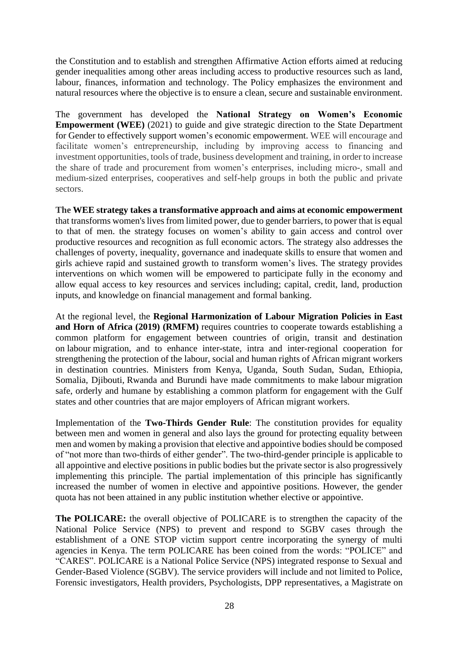the Constitution and to establish and strengthen Affirmative Action efforts aimed at reducing gender inequalities among other areas including access to productive resources such as land, labour, finances, information and technology. The Policy emphasizes the environment and natural resources where the objective is to ensure a clean, secure and sustainable environment.

The government has developed the **National Strategy on Women's Economic Empowerment (WEE)** (2021) to guide and give strategic direction to the State Department for Gender to effectively support women's economic empowerment. WEE will encourage and facilitate women's entrepreneurship, including by improving access to financing and investment opportunities, tools of trade, business development and training, in order to increase the share of trade and procurement from women's enterprises, including micro-, small and medium-sized enterprises, cooperatives and self-help groups in both the public and private sectors.

**The WEE strategy takes a transformative approach and aims at economic empowerment** that transforms women's lives from limited power, due to gender barriers, to power that is equal to that of men. the strategy focuses on women's ability to gain access and control over productive resources and recognition as full economic actors. The strategy also addresses the challenges of poverty, inequality, governance and inadequate skills to ensure that women and girls achieve rapid and sustained growth to transform women's lives. The strategy provides interventions on which women will be empowered to participate fully in the economy and allow equal access to key resources and services including; capital, credit, land, production inputs, and knowledge on financial management and formal banking.

At the regional level, the **Regional Harmonization of Labour Migration Policies in East and Horn of Africa (2019) (RMFM)** requires countries to cooperate towards establishing a common platform for engagement between countries of origin, transit and destination on labour migration, and to enhance inter-state, intra and inter-regional cooperation for strengthening the protection of the labour, social and human rights of African migrant workers in destination countries. Ministers from Kenya, Uganda, South Sudan, Sudan, Ethiopia, Somalia, Djibouti, Rwanda and Burundi have made commitments to make labour migration safe, orderly and humane by establishing a common platform for engagement with the Gulf states and other countries that are major employers of African migrant workers.

Implementation of the **Two-Thirds Gender Rule**: The constitution provides for equality between men and women in general and also lays the ground for protecting equality between men and women by making a provision that elective and appointive bodies should be composed of "not more than two-thirds of either gender". The two-third-gender principle is applicable to all appointive and elective positions in public bodies but the private sector is also progressively implementing this principle. The partial implementation of this principle has significantly increased the number of women in elective and appointive positions. However, the gender quota has not been attained in any public institution whether elective or appointive.

**The POLICARE:** the overall objective of POLICARE is to strengthen the capacity of the National Police Service (NPS) to prevent and respond to SGBV cases through the establishment of a ONE STOP victim support centre incorporating the synergy of multi agencies in Kenya. The term POLICARE has been coined from the words: "POLICE" and "CARES". POLICARE is a National Police Service (NPS) integrated response to Sexual and Gender-Based Violence (SGBV). The service providers will include and not limited to Police, Forensic investigators, Health providers, Psychologists, DPP representatives, a Magistrate on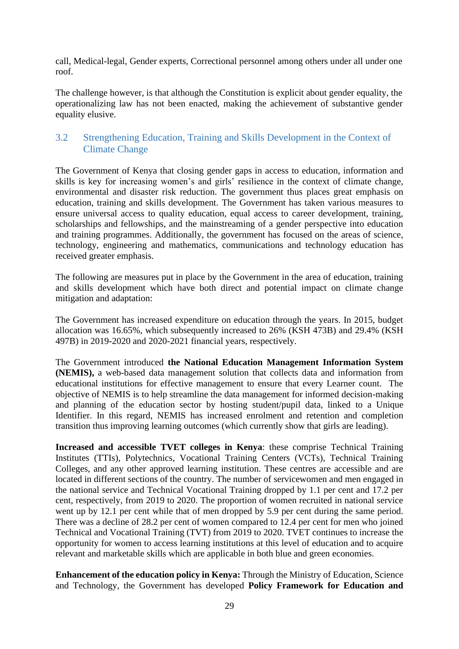call, Medical-legal, Gender experts, Correctional personnel among others under all under one roof.

The challenge however, is that although the Constitution is explicit about gender equality, the operationalizing law has not been enacted, making the achievement of substantive gender equality elusive.

## <span id="page-28-0"></span>3.2 Strengthening Education, Training and Skills Development in the Context of Climate Change

The Government of Kenya that closing gender gaps in access to education, information and skills is key for increasing women's and girls' resilience in the context of climate change, environmental and disaster risk reduction. The government thus places great emphasis on education, training and skills development. The Government has taken various measures to ensure universal access to quality education, equal access to career development, training, scholarships and fellowships, and the mainstreaming of a gender perspective into education and training programmes. Additionally, the government has focused on the areas of science, technology, engineering and mathematics, communications and technology education has received greater emphasis.

The following are measures put in place by the Government in the area of education, training and skills development which have both direct and potential impact on climate change mitigation and adaptation:

The Government has increased expenditure on education through the years. In 2015, budget allocation was 16.65%, which subsequently increased to 26% (KSH 473B) and 29.4% (KSH 497B) in 2019-2020 and 2020-2021 financial years, respectively.

The Government introduced **the National Education Management Information System (NEMIS),** a web-based data management solution that collects data and information from educational institutions for effective management to ensure that every Learner count. The objective of NEMIS is to help streamline the data management for informed decision-making and planning of the education sector by hosting student/pupil data, linked to a Unique Identifier. In this regard, NEMIS has increased enrolment and retention and completion transition thus improving learning outcomes (which currently show that girls are leading).

**Increased and accessible TVET colleges in Kenya**: these comprise Technical Training Institutes (TTIs), Polytechnics, Vocational Training Centers (VCTs), Technical Training Colleges, and any other approved learning institution. These centres are accessible and are located in different sections of the country. The number of servicewomen and men engaged in the national service and Technical Vocational Training dropped by 1.1 per cent and 17.2 per cent, respectively, from 2019 to 2020. The proportion of women recruited in national service went up by 12.1 per cent while that of men dropped by 5.9 per cent during the same period. There was a decline of 28.2 per cent of women compared to 12.4 per cent for men who joined Technical and Vocational Training (TVT) from 2019 to 2020. TVET continues to increase the opportunity for women to access learning institutions at this level of education and to acquire relevant and marketable skills which are applicable in both blue and green economies.

**Enhancement of the education policy in Kenya:** Through the Ministry of Education, Science and Technology, the Government has developed **Policy Framework for Education and**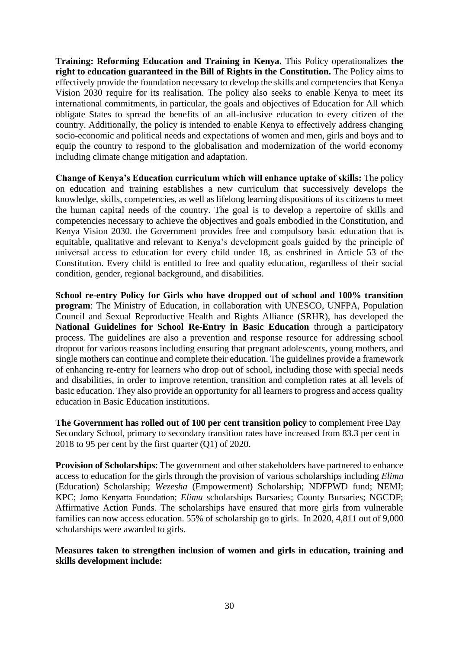**Training: Reforming Education and Training in Kenya.** This Policy operationalizes **the right to education guaranteed in the Bill of Rights in the Constitution.** The Policy aims to effectively provide the foundation necessary to develop the skills and competencies that Kenya Vision 2030 require for its realisation. The policy also seeks to enable Kenya to meet its international commitments, in particular, the goals and objectives of Education for All which obligate States to spread the benefits of an all-inclusive education to every citizen of the country. Additionally, the policy is intended to enable Kenya to effectively address changing socio-economic and political needs and expectations of women and men, girls and boys and to equip the country to respond to the globalisation and modernization of the world economy including climate change mitigation and adaptation.

**Change of Kenya's Education curriculum which will enhance uptake of skills:** The policy on education and training establishes a new curriculum that successively develops the knowledge, skills, competencies, as well as lifelong learning dispositions of its citizens to meet the human capital needs of the country. The goal is to develop a repertoire of skills and competencies necessary to achieve the objectives and goals embodied in the Constitution, and Kenya Vision 2030. the Government provides free and compulsory basic education that is equitable, qualitative and relevant to Kenya's development goals guided by the principle of universal access to education for every child under 18, as enshrined in Article 53 of the Constitution. Every child is entitled to free and quality education, regardless of their social condition, gender, regional background, and disabilities.

**School re-entry Policy for Girls who have dropped out of school and 100% transition program**: The Ministry of Education, in collaboration with UNESCO, UNFPA, Population Council and Sexual Reproductive Health and Rights Alliance (SRHR), has developed the **National Guidelines for School Re-Entry in Basic Education** through a participatory process. The guidelines are also a prevention and response resource for addressing school dropout for various reasons including ensuring that pregnant adolescents, young mothers, and single mothers can continue and complete their education. The guidelines provide a framework of enhancing re-entry for learners who drop out of school, including those with special needs and disabilities, in order to improve retention, transition and completion rates at all levels of basic education. They also provide an opportunity for all learners to progress and access quality education in Basic Education institutions.

**The Government has rolled out of 100 per cent transition policy** to complement Free Day Secondary School, primary to secondary transition rates have increased from 83.3 per cent in 2018 to 95 per cent by the first quarter (Q1) of 2020.

**Provision of Scholarships**: The government and other stakeholders have partnered to enhance access to education for the girls through the provision of various scholarships including *Elimu* (Education) Scholarship; *Wezesha* (Empowerment) Scholarship; NDFPWD fund; NEMI; KPC; Jomo Kenyatta Foundation; *Elimu* scholarships Bursaries; County Bursaries; NGCDF; Affirmative Action Funds. The scholarships have ensured that more girls from vulnerable families can now access education. 55% of scholarship go to girls. In 2020, 4,811 out of 9,000 scholarships were awarded to girls.

**Measures taken to strengthen inclusion of women and girls in education, training and skills development include:**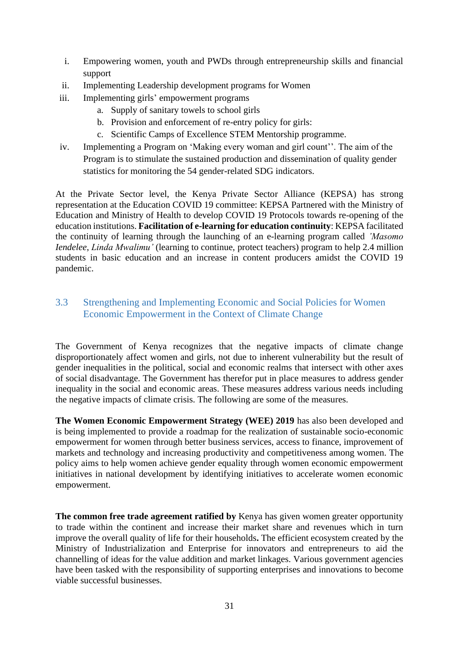- i. Empowering women, youth and PWDs through entrepreneurship skills and financial support
- ii. Implementing Leadership development programs for Women
- iii. Implementing girls' empowerment programs
	- a. Supply of sanitary towels to school girls
	- b. Provision and enforcement of re-entry policy for girls:
	- c. Scientific Camps of Excellence STEM Mentorship programme.
- iv. Implementing a Program on 'Making every woman and girl count''. The aim of the Program is to stimulate the sustained production and dissemination of quality gender statistics for monitoring the 54 gender-related SDG indicators.

At the Private Sector level, the Kenya Private Sector Alliance (KEPSA) has strong representation at the Education COVID 19 committee: KEPSA Partnered with the Ministry of Education and Ministry of Health to develop COVID 19 Protocols towards re-opening of the education institutions. **Facilitation of e-learning for education continuity**: KEPSA facilitated the continuity of learning through the launching of an e-learning program called *'Masomo Iendelee*, *Linda Mwalimu'* (learning to continue, protect teachers) program to help 2.4 million students in basic education and an increase in content producers amidst the COVID 19 pandemic.

## <span id="page-30-0"></span>3.3 Strengthening and Implementing Economic and Social Policies for Women Economic Empowerment in the Context of Climate Change

The Government of Kenya recognizes that the negative impacts of climate change disproportionately affect women and girls, not due to inherent vulnerability but the result of gender inequalities in the political, social and economic realms that intersect with other axes of social disadvantage. The Government has therefor put in place measures to address gender inequality in the social and economic areas. These measures address various needs including the negative impacts of climate crisis. The following are some of the measures.

**The Women Economic Empowerment Strategy (WEE) 2019** has also been developed and is being implemented to provide a roadmap for the realization of sustainable socio-economic empowerment for women through better business services, access to finance, improvement of markets and technology and increasing productivity and competitiveness among women. The policy aims to help women achieve gender equality through women economic empowerment initiatives in national development by identifying initiatives to accelerate women economic empowerment.

**The common free trade agreement ratified by** Kenya has given women greater opportunity to trade within the continent and increase their market share and revenues which in turn improve the overall quality of life for their households**.** The efficient ecosystem created by the Ministry of Industrialization and Enterprise for innovators and entrepreneurs to aid the channelling of ideas for the value addition and market linkages. Various government agencies have been tasked with the responsibility of supporting enterprises and innovations to become viable successful businesses.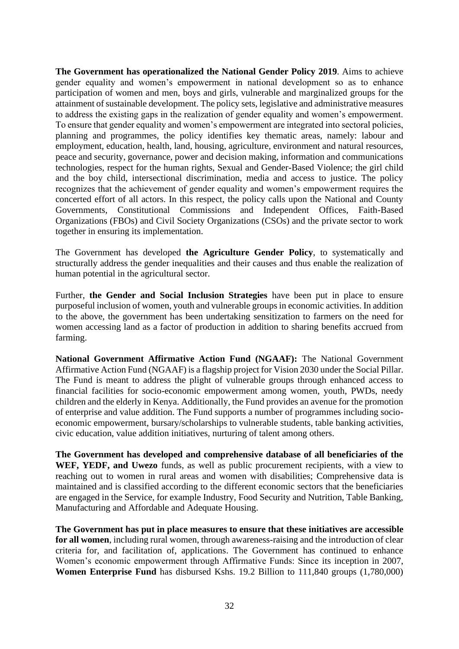**The Government has operationalized the National Gender Policy 2019**. Aims to achieve gender equality and women's empowerment in national development so as to enhance participation of women and men, boys and girls, vulnerable and marginalized groups for the attainment of sustainable development. The policy sets, legislative and administrative measures to address the existing gaps in the realization of gender equality and women's empowerment. To ensure that gender equality and women's empowerment are integrated into sectoral policies, planning and programmes, the policy identifies key thematic areas, namely: labour and employment, education, health, land, housing, agriculture, environment and natural resources, peace and security, governance, power and decision making, information and communications technologies, respect for the human rights, Sexual and Gender-Based Violence; the girl child and the boy child, intersectional discrimination, media and access to justice. The policy recognizes that the achievement of gender equality and women's empowerment requires the concerted effort of all actors. In this respect, the policy calls upon the National and County Governments, Constitutional Commissions and Independent Offices, Faith-Based Organizations (FBOs) and Civil Society Organizations (CSOs) and the private sector to work together in ensuring its implementation.

The Government has developed **the Agriculture Gender Policy**, to systematically and structurally address the gender inequalities and their causes and thus enable the realization of human potential in the agricultural sector.

Further, **the Gender and Social Inclusion Strategies** have been put in place to ensure purposeful inclusion of women, youth and vulnerable groups in economic activities. In addition to the above, the government has been undertaking sensitization to farmers on the need for women accessing land as a factor of production in addition to sharing benefits accrued from farming.

**National Government Affirmative Action Fund (NGAAF):** The National Government Affirmative Action Fund (NGAAF) is a flagship project for Vision 2030 under the Social Pillar. The Fund is meant to address the plight of vulnerable groups through enhanced access to financial facilities for socio-economic empowerment among women, youth, PWDs, needy children and the elderly in Kenya. Additionally, the Fund provides an avenue for the promotion of enterprise and value addition. The Fund supports a number of programmes including socioeconomic empowerment, bursary/scholarships to vulnerable students, table banking activities, civic education, value addition initiatives, nurturing of talent among others.

**The Government has developed and comprehensive database of all beneficiaries of the WEF, YEDF, and Uwezo** funds, as well as public procurement recipients, with a view to reaching out to women in rural areas and women with disabilities; Comprehensive data is maintained and is classified according to the different economic sectors that the beneficiaries are engaged in the Service, for example Industry, Food Security and Nutrition, Table Banking, Manufacturing and Affordable and Adequate Housing.

**The Government has put in place measures to ensure that these initiatives are accessible for all women**, including rural women, through awareness-raising and the introduction of clear criteria for, and facilitation of, applications. The Government has continued to enhance Women's economic empowerment through Affirmative Funds: Since its inception in 2007, **Women Enterprise Fund** has disbursed Kshs. 19.2 Billion to 111,840 groups (1,780,000)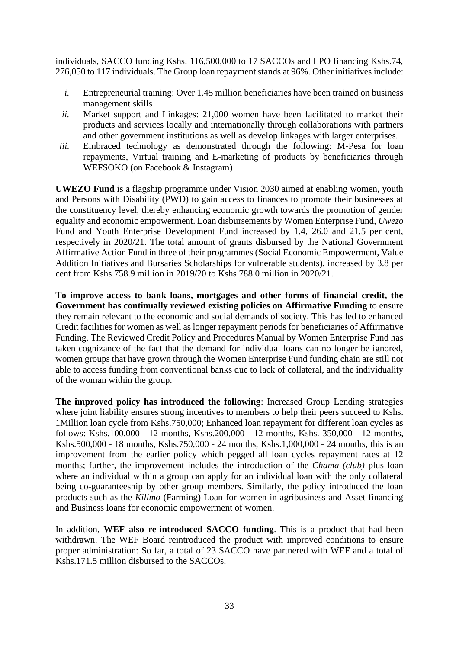individuals, SACCO funding Kshs. 116,500,000 to 17 SACCOs and LPO financing Kshs.74, 276,050 to 117 individuals. The Group loan repayment stands at 96%. Other initiatives include:

- *i.* Entrepreneurial training: Over 1.45 million beneficiaries have been trained on business management skills
- *ii.* Market support and Linkages: 21,000 women have been facilitated to market their products and services locally and internationally through collaborations with partners and other government institutions as well as develop linkages with larger enterprises.
- *iii.* Embraced technology as demonstrated through the following: M-Pesa for loan repayments, Virtual training and E-marketing of products by beneficiaries through WEFSOKO (on Facebook & Instagram)

**UWEZO Fund** is a flagship programme under Vision 2030 aimed at enabling women, youth and Persons with Disability (PWD) to gain access to finances to promote their businesses at the constituency level, thereby enhancing economic growth towards the promotion of gender equality and economic empowerment. Loan disbursements by Women Enterprise Fund, *Uwezo* Fund and Youth Enterprise Development Fund increased by 1.4, 26.0 and 21.5 per cent, respectively in 2020/21. The total amount of grants disbursed by the National Government Affirmative Action Fund in three of their programmes (Social Economic Empowerment, Value Addition Initiatives and Bursaries Scholarships for vulnerable students), increased by 3.8 per cent from Kshs 758.9 million in 2019/20 to Kshs 788.0 million in 2020/21.

**To improve access to bank loans, mortgages and other forms of financial credit, the Government has continually reviewed existing policies on Affirmative Funding** to ensure they remain relevant to the economic and social demands of society. This has led to enhanced Credit facilities for women as well as longer repayment periods for beneficiaries of Affirmative Funding. The Reviewed Credit Policy and Procedures Manual by Women Enterprise Fund has taken cognizance of the fact that the demand for individual loans can no longer be ignored, women groups that have grown through the Women Enterprise Fund funding chain are still not able to access funding from conventional banks due to lack of collateral, and the individuality of the woman within the group.

**The improved policy has introduced the following**: Increased Group Lending strategies where joint liability ensures strong incentives to members to help their peers succeed to Kshs. 1Million loan cycle from Kshs.750,000; Enhanced loan repayment for different loan cycles as follows: Kshs.100,000 - 12 months, Kshs.200,000 - 12 months, Kshs. 350,000 - 12 months, Kshs.500,000 - 18 months, Kshs.750,000 - 24 months, Kshs.1,000,000 - 24 months, this is an improvement from the earlier policy which pegged all loan cycles repayment rates at 12 months; further, the improvement includes the introduction of the *Chama (club)* plus loan where an individual within a group can apply for an individual loan with the only collateral being co-guaranteeship by other group members. Similarly, the policy introduced the loan products such as the *Kilimo* (Farming) Loan for women in agribusiness and Asset financing and Business loans for economic empowerment of women.

In addition, **WEF also re-introduced SACCO funding**. This is a product that had been withdrawn. The WEF Board reintroduced the product with improved conditions to ensure proper administration: So far, a total of 23 SACCO have partnered with WEF and a total of Kshs.171.5 million disbursed to the SACCOs.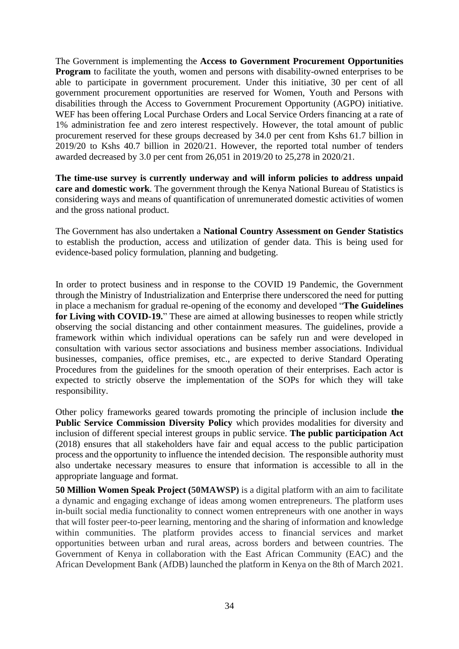The Government is implementing the **Access to Government Procurement Opportunities Program** to facilitate the youth, women and persons with disability-owned enterprises to be able to participate in government procurement. Under this initiative, 30 per cent of all government procurement opportunities are reserved for Women, Youth and Persons with disabilities through the Access to Government Procurement Opportunity (AGPO) initiative. WEF has been offering Local Purchase Orders and Local Service Orders financing at a rate of 1% administration fee and zero interest respectively. However, the total amount of public procurement reserved for these groups decreased by 34.0 per cent from Kshs 61.7 billion in 2019/20 to Kshs 40.7 billion in 2020/21. However, the reported total number of tenders awarded decreased by 3.0 per cent from 26,051 in 2019/20 to 25,278 in 2020/21.

**The time-use survey is currently underway and will inform policies to address unpaid care and domestic work**. The government through the Kenya National Bureau of Statistics is considering ways and means of quantification of unremunerated domestic activities of women and the gross national product.

The Government has also undertaken a **National Country Assessment on Gender Statistics** to establish the production, access and utilization of gender data. This is being used for evidence-based policy formulation, planning and budgeting.

In order to protect business and in response to the COVID 19 Pandemic, the Government through the Ministry of Industrialization and Enterprise there underscored the need for putting in place a mechanism for gradual re-opening of the economy and developed "**The Guidelines for Living with COVID-19.**" These are aimed at allowing businesses to reopen while strictly observing the social distancing and other containment measures. The guidelines, provide a framework within which individual operations can be safely run and were developed in consultation with various sector associations and business member associations. Individual businesses, companies, office premises, etc., are expected to derive Standard Operating Procedures from the guidelines for the smooth operation of their enterprises. Each actor is expected to strictly observe the implementation of the SOPs for which they will take responsibility.

Other policy frameworks geared towards promoting the principle of inclusion include **the Public Service Commission Diversity Policy** which provides modalities for diversity and inclusion of different special interest groups in public service. **The public participation Act** (2018) ensures that all stakeholders have fair and equal access to the public participation process and the opportunity to influence the intended decision. The responsible authority must also undertake necessary measures to ensure that information is accessible to all in the appropriate language and format.

**50 Million Women Speak Project (50MAWSP)** is a digital platform with an aim to facilitate a dynamic and engaging exchange of ideas among women entrepreneurs. The platform uses in-built social media functionality to connect women entrepreneurs with one another in ways that will foster peer-to-peer learning, mentoring and the sharing of information and knowledge within communities. The platform provides access to financial services and market opportunities between urban and rural areas, across borders and between countries. The Government of Kenya in collaboration with the East African Community (EAC) and the African Development Bank (AfDB) launched the platform in Kenya on the 8th of March 2021.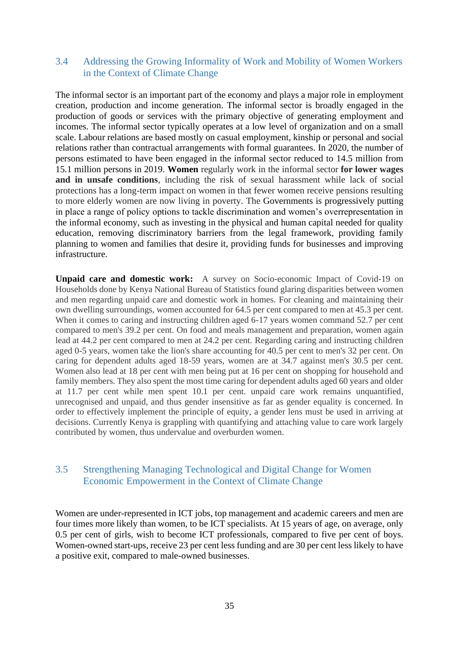#### <span id="page-34-0"></span>3.4 Addressing the Growing Informality of Work and Mobility of Women Workers in the Context of Climate Change

The informal sector is an important part of the economy and plays a major role in employment creation, production and income generation. The informal sector is broadly engaged in the production of goods or services with the primary objective of generating employment and incomes. The informal sector typically operates at a low level of organization and on a small scale. Labour relations are based mostly on casual employment, kinship or personal and social relations rather than contractual arrangements with formal guarantees. In 2020, the number of persons estimated to have been engaged in the informal sector reduced to 14.5 million from 15.1 million persons in 2019. **Women** regularly work in the informal sector **for lower wages and in unsafe conditions**, including the risk of sexual harassment while lack of social protections has a long-term impact on women in that fewer women receive pensions resulting to more elderly women are now living in poverty. The Governments is progressively putting in place a range of policy options to tackle discrimination and women's overrepresentation in the informal economy, such as investing in the physical and human capital needed for quality education, removing discriminatory barriers from the legal framework, providing family planning to women and families that desire it, providing funds for businesses and improving infrastructure.

**Unpaid care and domestic work:** A survey on Socio-economic Impact of Covid-19 on Households done by Kenya National Bureau of Statistics found glaring disparities between women and men regarding unpaid care and domestic work in homes. For cleaning and maintaining their own dwelling surroundings, women accounted for 64.5 per cent compared to men at 45.3 per cent. When it comes to caring and instructing children aged 6-17 years women command 52.7 per cent compared to men's 39.2 per cent. On food and meals management and preparation, women again lead at 44.2 per cent compared to men at 24.2 per cent. Regarding caring and instructing children aged 0-5 years, women take the lion's share accounting for 40.5 per cent to men's 32 per cent. On caring for dependent adults aged 18-59 years, women are at 34.7 against men's 30.5 per cent. Women also lead at 18 per cent with men being put at 16 per cent on shopping for household and family members. They also spent the most time caring for dependent adults aged 60 years and older at 11.7 per cent while men spent 10.1 per cent. unpaid care work remains unquantified, unrecognised and unpaid, and thus gender insensitive as far as gender equality is concerned. In order to effectively implement the principle of equity, a gender lens must be used in arriving at decisions. Currently Kenya is grappling with quantifying and attaching value to care work largely contributed by women, thus undervalue and overburden women.

### <span id="page-34-1"></span>3.5 Strengthening Managing Technological and Digital Change for Women Economic Empowerment in the Context of Climate Change

Women are under-represented in ICT jobs, top management and academic careers and men are four times more likely than women, to be ICT specialists. At 15 years of age, on average, only 0.5 per cent of girls, wish to become ICT professionals, compared to five per cent of boys. Women-owned start-ups, receive 23 per cent less funding and are 30 per cent less likely to have a positive exit, compared to male-owned businesses.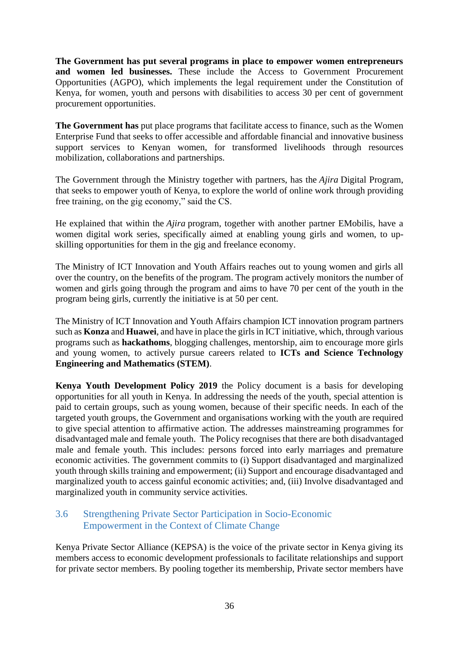**The Government has put several programs in place to empower women entrepreneurs and women led businesses.** These include the Access to Government Procurement Opportunities (AGPO), which implements the legal requirement under the Constitution of Kenya, for women, youth and persons with disabilities to access 30 per cent of government procurement opportunities.

**The Government has** put place programs that facilitate access to finance, such as the Women Enterprise Fund that seeks to offer accessible and affordable financial and innovative business support services to Kenyan women, for transformed livelihoods through resources mobilization, collaborations and partnerships.

The Government through the Ministry together with partners, has the *Ajira* Digital Program, that seeks to empower youth of Kenya, to explore the world of online work through providing free training, on the gig economy," said the CS.

He explained that within the *Ajira* program, together with another partner EMobilis, have a women digital work series, specifically aimed at enabling young girls and women, to upskilling opportunities for them in the gig and freelance economy.

The Ministry of ICT Innovation and Youth Affairs reaches out to young women and girls all over the country, on the benefits of the program. The program actively monitors the number of women and girls going through the program and aims to have 70 per cent of the youth in the program being girls, currently the initiative is at 50 per cent.

The Ministry of ICT Innovation and Youth Affairs champion ICT innovation program partners such as **Konza** and **Huawei**, and have in place the girls in ICT initiative, which, through various programs such as **hackathoms**, blogging challenges, mentorship, aim to encourage more girls and young women, to actively pursue careers related to **ICTs and Science Technology Engineering and Mathematics (STEM)**.

**Kenya Youth Development Policy 2019** the Policy document is a basis for developing opportunities for all youth in Kenya. In addressing the needs of the youth, special attention is paid to certain groups, such as young women, because of their specific needs. In each of the targeted youth groups, the Government and organisations working with the youth are required to give special attention to affirmative action. The addresses mainstreaming programmes for disadvantaged male and female youth. The Policy recognises that there are both disadvantaged male and female youth. This includes: persons forced into early marriages and premature economic activities. The government commits to (i) Support disadvantaged and marginalized youth through skills training and empowerment; (ii) Support and encourage disadvantaged and marginalized youth to access gainful economic activities; and, (iii) Involve disadvantaged and marginalized youth in community service activities.

### <span id="page-35-0"></span>3.6 Strengthening Private Sector Participation in Socio-Economic Empowerment in the Context of Climate Change

Kenya Private Sector Alliance (KEPSA) is the voice of the private sector in Kenya giving its members access to economic development professionals to facilitate relationships and support for private sector members. By pooling together its membership, Private sector members have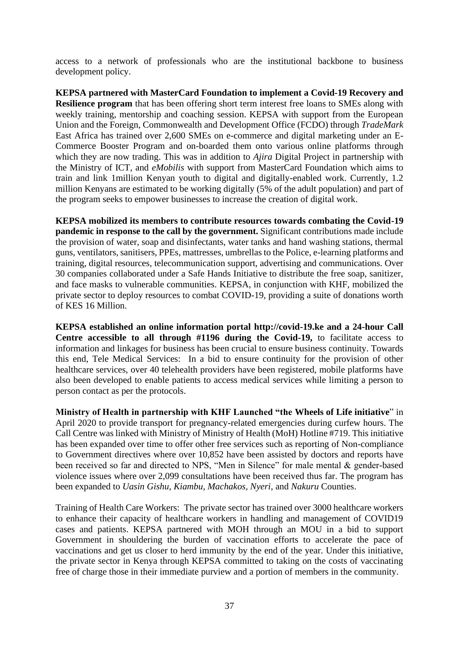access to a network of professionals who are the institutional backbone to business development policy.

**KEPSA partnered with MasterCard Foundation to implement a Covid-19 Recovery and Resilience program** that has been offering short term interest free loans to SMEs along with weekly training, mentorship and coaching session. KEPSA with support from the European Union and the Foreign, Commonwealth and Development Office (FCDO) through *TradeMark* East Africa has trained over 2,600 SMEs on e-commerce and digital marketing under an E-Commerce Booster Program and on-boarded them onto various online platforms through which they are now trading. This was in addition to *Ajira* Digital Project in partnership with the Ministry of ICT, and *eMobilis* with support from MasterCard Foundation which aims to train and link 1million Kenyan youth to digital and digitally-enabled work. Currently, 1.2 million Kenyans are estimated to be working digitally (5% of the adult population) and part of the program seeks to empower businesses to increase the creation of digital work.

**KEPSA mobilized its members to contribute resources towards combating the Covid-19 pandemic in response to the call by the government.** Significant contributions made include the provision of water, soap and disinfectants, water tanks and hand washing stations, thermal guns, ventilators, sanitisers, PPEs, mattresses, umbrellas to the Police, e-learning platforms and training, digital resources, telecommunication support, advertising and communications. Over 30 companies collaborated under a Safe Hands Initiative to distribute the free soap, sanitizer, and face masks to vulnerable communities. KEPSA, in conjunction with KHF, mobilized the private sector to deploy resources to combat COVID-19, providing a suite of donations worth of KES 16 Million.

**KEPSA established an online information portal [http://covid-19.ke](http://covid-19.ke/) and a 24-hour Call Centre accessible to all through #1196 during the Covid-19,** to facilitate access to information and linkages for business has been crucial to ensure business continuity. Towards this end, Tele Medical Services: In a bid to ensure continuity for the provision of other healthcare services, over 40 telehealth providers have been registered, mobile platforms have also been developed to enable patients to access medical services while limiting a person to person contact as per the protocols.

**Ministry of Health in partnership with KHF Launched "the Wheels of Life initiative**" in April 2020 to provide transport for pregnancy-related emergencies during curfew hours. The Call Centre was linked with Ministry of Ministry of Health (MoH) Hotline #719. This initiative has been expanded over time to offer other free services such as reporting of Non-compliance to Government directives where over 10,852 have been assisted by doctors and reports have been received so far and directed to NPS, "Men in Silence" for male mental & gender-based violence issues where over 2,099 consultations have been received thus far. The program has been expanded to *Uasin Gishu, Kiambu, Machakos, Nyeri*, and *Nakuru* Counties.

Training of Health Care Workers: The private sector has trained over 3000 healthcare workers to enhance their capacity of healthcare workers in handling and management of COVID19 cases and patients. KEPSA partnered with MOH through an MOU in a bid to support Government in shouldering the burden of vaccination efforts to accelerate the pace of vaccinations and get us closer to herd immunity by the end of the year. Under this initiative, the private sector in Kenya through KEPSA committed to taking on the costs of vaccinating free of charge those in their immediate purview and a portion of members in the community.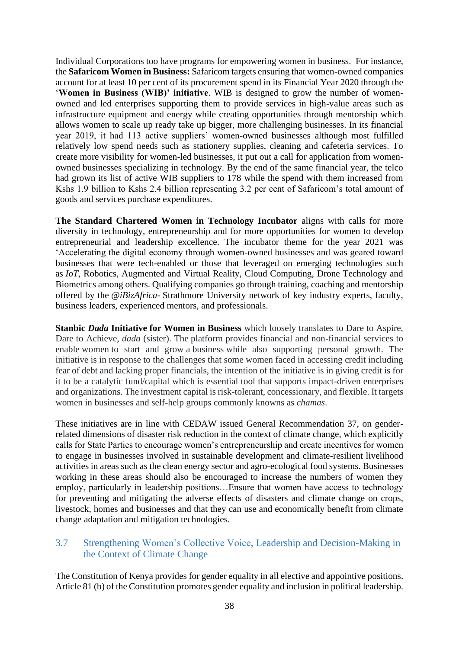Individual Corporations too have programs for empowering women in business. For instance, the **Safaricom Women in Business:** Safaricom targets ensuring that women-owned companies account for at least 10 per cent of its procurement spend in its Financial Year 2020 through the '**Women in Business (WIB)' initiative**. WIB is designed to grow the number of womenowned and led enterprises supporting them to provide services in high-value areas such as infrastructure equipment and energy while creating opportunities through mentorship which allows women to scale up ready take up bigger, more challenging businesses. In its financial year 2019, it had 113 active suppliers' women-owned businesses although most fulfilled relatively low spend needs such as stationery supplies, cleaning and cafeteria services. To create more visibility for women-led businesses, it put out a call for application from womenowned businesses specializing in technology. By the end of the same financial year, the telco had grown its list of active WIB suppliers to 178 while the spend with them increased from Kshs 1.9 billion to Kshs 2.4 billion representing 3.2 per cent of Safaricom's total amount of goods and services purchase expenditures.

**The Standard Chartered Women in Technology Incubator** aligns with calls for more diversity in technology, entrepreneurship and for more opportunities for women to develop entrepreneurial and leadership excellence. The incubator theme for the year 2021 was 'Accelerating the digital economy through women-owned businesses and was geared toward businesses that were tech-enabled or those that leveraged on emerging technologies such as *IoT*, Robotics, Augmented and Virtual Reality, Cloud Computing, Drone Technology and Biometrics among others. Qualifying companies go through training, coaching and mentorship offered by the *@iBizAfrica-* Strathmore University network of key industry experts, faculty, business leaders, experienced mentors, and professionals.

**Stanbic** *Dada* **Initiative for Women in Business** which loosely translates to Dare to Aspire, Dare to Achieve, *dada* (sister). The platform provides financial and non-financial services to enable women to start and grow a business while also supporting personal growth. The initiative is in response to the challenges that some women faced in accessing credit including fear of debt and lacking proper financials, the intention of the initiative is in giving credit is for it to be a catalytic fund/capital which is essential tool that supports impact-driven enterprises and organizations. The investment capital is risk-tolerant, concessionary, and flexible. It targets women in businesses and self-help groups commonly knowns as *chamas*.

These initiatives are in line with CEDAW issued General Recommendation 37, on genderrelated dimensions of disaster risk reduction in the context of climate change, which explicitly calls for State Parties to encourage women's entrepreneurship and create incentives for women to engage in businesses involved in sustainable development and climate-resilient livelihood activities in areas such as the clean energy sector and agro-ecological food systems. Businesses working in these areas should also be encouraged to increase the numbers of women they employ, particularly in leadership positions…Ensure that women have access to technology for preventing and mitigating the adverse effects of disasters and climate change on crops, livestock, homes and businesses and that they can use and economically benefit from climate change adaptation and mitigation technologies.

### <span id="page-37-0"></span>3.7 Strengthening Women's Collective Voice, Leadership and Decision-Making in the Context of Climate Change

The Constitution of Kenya provides for gender equality in all elective and appointive positions. Article 81 (b) of the Constitution promotes gender equality and inclusion in political leadership.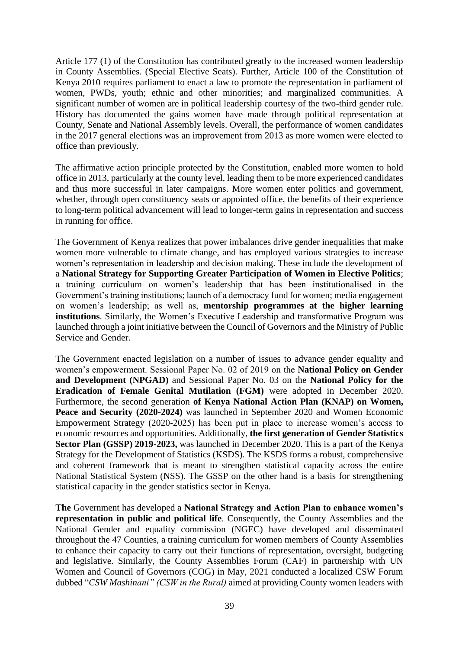Article 177 (1) of the Constitution has contributed greatly to the increased women leadership in County Assemblies. (Special Elective Seats). Further, Article 100 of the Constitution of Kenya 2010 requires parliament to enact a law to promote the representation in parliament of women, PWDs, youth; ethnic and other minorities; and marginalized communities. A significant number of women are in political leadership courtesy of the two-third gender rule. History has documented the gains women have made through political representation at County, Senate and National Assembly levels. Overall, the performance of women candidates in the 2017 general elections was an improvement from 2013 as more women were elected to office than previously.

The affirmative action principle protected by the Constitution, enabled more women to hold office in 2013, particularly at the county level, leading them to be more experienced candidates and thus more successful in later campaigns. More women enter politics and government, whether, through open constituency seats or appointed office, the benefits of their experience to long-term political advancement will lead to longer-term gains in representation and success in running for office.

The Government of Kenya realizes that power imbalances drive gender inequalities that make women more vulnerable to climate change, and has employed various strategies to increase women's representation in leadership and decision making. These include the development of a **National Strategy for Supporting Greater Participation of Women in Elective Politics**; a training curriculum on women's leadership that has been institutionalised in the Government's training institutions; launch of a democracy fund for women; media engagement on women's leadership; as well as, **mentorship programmes at the higher learning institutions**. Similarly, the Women's Executive Leadership and transformative Program was launched through a joint initiative between the Council of Governors and the Ministry of Public Service and Gender.

The Government enacted legislation on a number of issues to advance gender equality and women's empowerment. Sessional Paper No. 02 of 2019 on the **National Policy on Gender and Development (NPGAD)** and Sessional Paper No. 03 on the **National Policy for the Eradication of Female Genital Mutilation (FGM)** were adopted in December 2020. Furthermore, the second generation **of Kenya National Action Plan (KNAP) on Women, Peace and Security (2020-2024)** was launched in September 2020 and Women Economic Empowerment Strategy (2020-2025) has been put in place to increase women's access to economic resources and opportunities. Additionally, **the first generation of Gender Statistics Sector Plan (GSSP) 2019-2023,** was launched in December 2020. This is a part of the Kenya Strategy for the Development of Statistics (KSDS). The KSDS forms a robust, comprehensive and coherent framework that is meant to strengthen statistical capacity across the entire National Statistical System (NSS). The GSSP on the other hand is a basis for strengthening statistical capacity in the gender statistics sector in Kenya.

**The** Government has developed a **National Strategy and Action Plan to enhance women's representation in public and political life**. Consequently, the County Assemblies and the National Gender and equality commission (NGEC) have developed and disseminated throughout the 47 Counties, a training curriculum for women members of County Assemblies to enhance their capacity to carry out their functions of representation, oversight, budgeting and legislative. Similarly, the County Assemblies Forum (CAF) in partnership with UN Women and Council of Governors (COG) in May, 2021 conducted a localized CSW Forum dubbed "*CSW Mashinani" (CSW in the Rural)* aimed at providing County women leaders with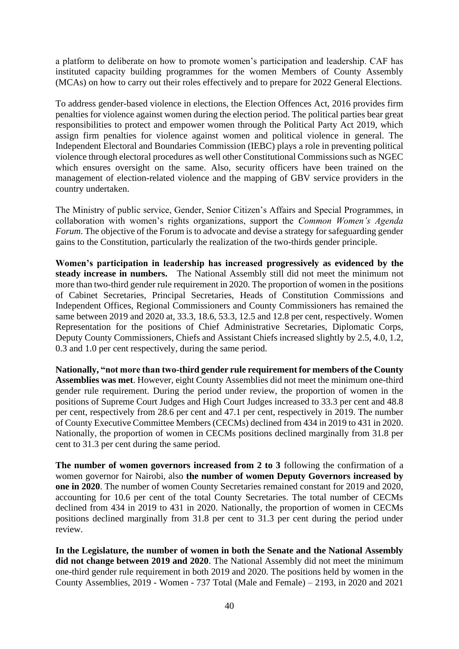a platform to deliberate on how to promote women's participation and leadership. CAF has instituted capacity building programmes for the women Members of County Assembly (MCAs) on how to carry out their roles effectively and to prepare for 2022 General Elections.

To address gender-based violence in elections, the Election Offences Act, 2016 provides firm penalties for violence against women during the election period. The political parties bear great responsibilities to protect and empower women through the Political Party Act 2019, which assign firm penalties for violence against women and political violence in general. The Independent Electoral and Boundaries Commission (IEBC) plays a role in preventing political violence through electoral procedures as well other Constitutional Commissions such as NGEC which ensures oversight on the same. Also, security officers have been trained on the management of election-related violence and the mapping of GBV service providers in the country undertaken.

The Ministry of public service, Gender, Senior Citizen's Affairs and Special Programmes, in collaboration with women's rights organizations, support the *Common Women's Agenda Forum*. The objective of the Forum is to advocate and devise a strategy for safeguarding gender gains to the Constitution, particularly the realization of the two-thirds gender principle.

**Women's participation in leadership has increased progressively as evidenced by the steady increase in numbers.** The National Assembly still did not meet the minimum not more than two-third gender rule requirement in 2020. The proportion of women in the positions of Cabinet Secretaries, Principal Secretaries, Heads of Constitution Commissions and Independent Offices, Regional Commissioners and County Commissioners has remained the same between 2019 and 2020 at, 33.3, 18.6, 53.3, 12.5 and 12.8 per cent, respectively. Women Representation for the positions of Chief Administrative Secretaries, Diplomatic Corps, Deputy County Commissioners, Chiefs and Assistant Chiefs increased slightly by 2.5, 4.0, 1.2, 0.3 and 1.0 per cent respectively, during the same period.

**Nationally, "not more than two-third gender rule requirement for members of the County Assemblies was met**. However, eight County Assemblies did not meet the minimum one-third gender rule requirement. During the period under review, the proportion of women in the positions of Supreme Court Judges and High Court Judges increased to 33.3 per cent and 48.8 per cent, respectively from 28.6 per cent and 47.1 per cent, respectively in 2019. The number of County Executive Committee Members (CECMs) declined from 434 in 2019 to 431 in 2020. Nationally, the proportion of women in CECMs positions declined marginally from 31.8 per cent to 31.3 per cent during the same period.

**The number of women governors increased from 2 to 3** following the confirmation of a women governor for Nairobi, also **the number of women Deputy Governors increased by one in 2020**. The number of women County Secretaries remained constant for 2019 and 2020, accounting for 10.6 per cent of the total County Secretaries. The total number of CECMs declined from 434 in 2019 to 431 in 2020. Nationally, the proportion of women in CECMs positions declined marginally from 31.8 per cent to 31.3 per cent during the period under review.

**In the Legislature, the number of women in both the Senate and the National Assembly did not change between 2019 and 2020**. The National Assembly did not meet the minimum one-third gender rule requirement in both 2019 and 2020. The positions held by women in the County Assemblies, 2019 - Women - 737 Total (Male and Female) – 2193, in 2020 and 2021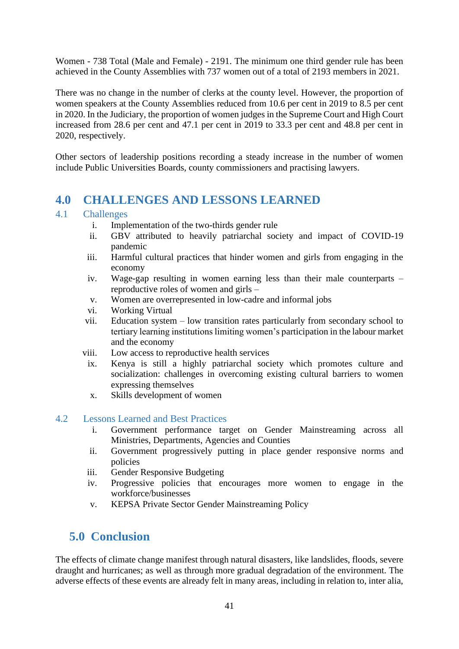Women - 738 Total (Male and Female) - 2191. The minimum one third gender rule has been achieved in the County Assemblies with 737 women out of a total of 2193 members in 2021.

There was no change in the number of clerks at the county level. However, the proportion of women speakers at the County Assemblies reduced from 10.6 per cent in 2019 to 8.5 per cent in 2020. In the Judiciary, the proportion of women judges in the Supreme Court and High Court increased from 28.6 per cent and 47.1 per cent in 2019 to 33.3 per cent and 48.8 per cent in 2020, respectively.

Other sectors of leadership positions recording a steady increase in the number of women include Public Universities Boards, county commissioners and practising lawyers.

# <span id="page-40-0"></span>**4.0 CHALLENGES AND LESSONS LEARNED**

#### <span id="page-40-1"></span>4.1 Challenges

- i. Implementation of the two-thirds gender rule
- ii. GBV attributed to heavily patriarchal society and impact of COVID-19 pandemic
- iii. Harmful cultural practices that hinder women and girls from engaging in the economy
- iv. Wage-gap resulting in women earning less than their male counterparts reproductive roles of women and girls –
- v. Women are overrepresented in low-cadre and informal jobs
- vi. Working Virtual
- vii. Education system low transition rates particularly from secondary school to tertiary learning institutions limiting women's participation in the labour market and the economy
- viii. Low access to reproductive health services
- ix. Kenya is still a highly patriarchal society which promotes culture and socialization: challenges in overcoming existing cultural barriers to women expressing themselves
- x. Skills development of women

### <span id="page-40-2"></span>4.2 Lessons Learned and Best Practices

- i. Government performance target on Gender Mainstreaming across all Ministries, Departments, Agencies and Counties
- ii. Government progressively putting in place gender responsive norms and policies
- iii. Gender Responsive Budgeting
- iv. Progressive policies that encourages more women to engage in the workforce/businesses
- v. KEPSA Private Sector Gender Mainstreaming Policy

# <span id="page-40-3"></span>**5.0 Conclusion**

The effects of climate change manifest through natural disasters, like landslides, floods, severe draught and hurricanes; as well as through more gradual degradation of the environment. The adverse effects of these events are already felt in many areas, including in relation to, inter alia,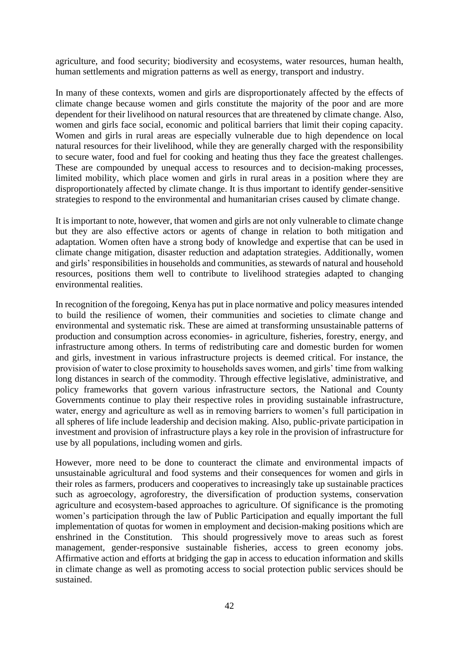agriculture, and food security; biodiversity and ecosystems, water resources, human health, human settlements and migration patterns as well as energy, transport and industry.

In many of these contexts, women and girls are disproportionately affected by the effects of climate change because women and girls constitute the majority of the poor and are more dependent for their livelihood on natural resources that are threatened by climate change. Also, women and girls face social, economic and political barriers that limit their coping capacity. Women and girls in rural areas are especially vulnerable due to high dependence on local natural resources for their livelihood, while they are generally charged with the responsibility to secure water, food and fuel for cooking and heating thus they face the greatest challenges. These are compounded by unequal access to resources and to decision-making processes, limited mobility, which place women and girls in rural areas in a position where they are disproportionately affected by climate change. It is thus important to identify gender-sensitive strategies to respond to the environmental and humanitarian crises caused by climate change.

It is important to note, however, that women and girls are not only vulnerable to climate change but they are also effective actors or agents of change in relation to both mitigation and adaptation. Women often have a strong body of knowledge and expertise that can be used in climate change mitigation, disaster reduction and adaptation strategies. Additionally, women and girls' responsibilities in households and communities, as stewards of natural and household resources, positions them well to contribute to livelihood strategies adapted to changing environmental realities.

In recognition of the foregoing, Kenya has put in place normative and policy measures intended to build the resilience of women, their communities and societies to climate change and environmental and systematic risk. These are aimed at transforming unsustainable patterns of production and consumption across economies- in agriculture, fisheries, forestry, energy, and infrastructure among others. In terms of redistributing care and domestic burden for women and girls, investment in various infrastructure projects is deemed critical. For instance, the provision of water to close proximity to households saves women, and girls' time from walking long distances in search of the commodity. Through effective legislative, administrative, and policy frameworks that govern various infrastructure sectors, the National and County Governments continue to play their respective roles in providing sustainable infrastructure, water, energy and agriculture as well as in removing barriers to women's full participation in all spheres of life include leadership and decision making. Also, public-private participation in investment and provision of infrastructure plays a key role in the provision of infrastructure for use by all populations, including women and girls.

However, more need to be done to counteract the climate and environmental impacts of unsustainable agricultural and food systems and their consequences for women and girls in their roles as farmers, producers and cooperatives to increasingly take up sustainable practices such as agroecology, agroforestry, the diversification of production systems, conservation agriculture and ecosystem-based approaches to agriculture. Of significance is the promoting women's participation through the law of Public Participation and equally important the full implementation of quotas for women in employment and decision-making positions which are enshrined in the Constitution. This should progressively move to areas such as forest management, gender-responsive sustainable fisheries, access to green economy jobs. Affirmative action and efforts at bridging the gap in access to education information and skills in climate change as well as promoting access to social protection public services should be sustained.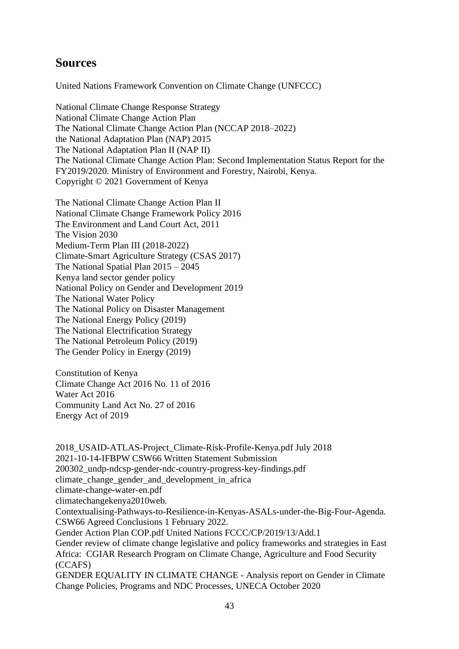## **Sources**

United Nations Framework Convention on Climate Change (UNFCCC)

National Climate Change Response Strategy National Climate Change Action Plan The National Climate Change Action Plan (NCCAP 2018–2022) the National Adaptation Plan (NAP) 2015 The National Adaptation Plan II (NAP II) The National Climate Change Action Plan: Second Implementation Status Report for the FY2019/2020. Ministry of Environment and Forestry, Nairobi, Kenya. Copyright © 2021 Government of Kenya

The National Climate Change Action Plan II National Climate Change Framework Policy 2016 The Environment and Land Court Act, 2011 The Vision 2030 Medium-Term Plan III (2018-2022) Climate-Smart Agriculture Strategy (CSAS 2017) The National Spatial Plan 2015 – 2045 Kenya land sector gender policy National Policy on Gender and Development 2019 The National Water Policy The National Policy on Disaster Management The National Energy Policy (2019) The National Electrification Strategy The National Petroleum Policy (2019) The Gender Policy in Energy (2019)

Constitution of Kenya Climate Change Act 2016 No. 11 of 2016 Water Act 2016 Community Land Act No. 27 of 2016 Energy Act of 2019

2018\_USAID-ATLAS-Project\_Climate-Risk-Profile-Kenya.pdf July 2018 2021-10-14-IFBPW CSW66 Written Statement Submission 200302\_undp-ndcsp-gender-ndc-country-progress-key-findings.pdf climate change gender and development in africa climate-change-water-en.pdf climatechangekenya2010web. Contextualising-Pathways-to-Resilience-in-Kenyas-ASALs-under-the-Big-Four-Agenda. CSW66 Agreed Conclusions 1 February 2022. Gender Action Plan COP.pdf United Nations FCCC/CP/2019/13/Add.1 Gender review of climate change legislative and policy frameworks and strategies in East Africa: CGIAR Research Program on Climate Change, Agriculture and Food Security (CCAFS) GENDER EQUALITY IN CLIMATE CHANGE - Analysis report on Gender in Climate Change Policies, Programs and NDC Processes, UNECA October 2020